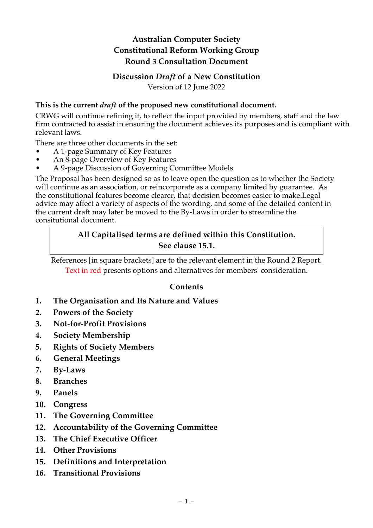# **Australian Computer Society Constitutional Reform Working Group Round 3 Consultation Document**

#### **Discussion** *Draft* **of a New Constitution** Version of 12 June 2022

### **This is the current** *draft* **of the proposed new constitutional document.**

CRWG will continue refining it, to reflect the input provided by members, staff and the law firm contracted to assist in ensuring the document achieves its purposes and is compliant with relevant laws.

There are three other documents in the set:

- A 1-page Summary of Key Features
- An 8-page Overview of Key Features
- A 9-page Discussion of Governing Committee Models

The Proposal has been designed so as to leave open the question as to whether the Society will continue as an association, or reincorporate as a company limited by guarantee. As the constitutional features become clearer, that decision becomes easier to make.Legal advice may affect a variety of aspects of the wording, and some of the detailed content in the current draft may later be moved to the By-Laws in order to streamline the consitutional document.

## **All Capitalised terms are defined within this Constitution. See clause 15.1.**

References [in square brackets] are to the relevant element in the Round 2 Report. Text in red presents options and alternatives for members' consideration.

## **Contents**

- **1. The Organisation and Its Nature and Values**
- **2. Powers of the Society**
- **3. Not-for-Profit Provisions**
- **4. Society Membership**
- **5. Rights of Society Members**
- **6. General Meetings**
- **7. By-Laws**
- **8. Branches**
- **9. Panels**
- **10. Congress**
- **11. The Governing Committee**
- **12. Accountability of the Governing Committee**
- **13. The Chief Executive Officer**
- **14. Other Provisions**
- **15. Definitions and Interpretation**
- **16. Transitional Provisions**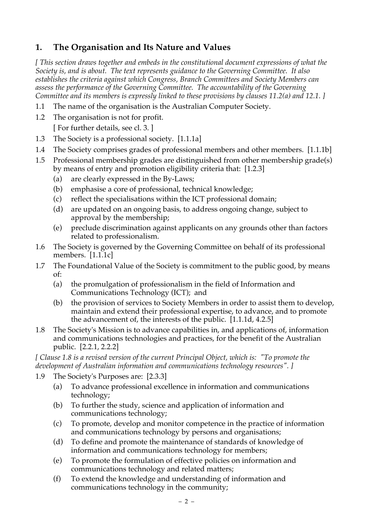# **1. The Organisation and Its Nature and Values**

*[ This section draws together and embeds in the constitutional document expressions of what the Society is, and is about. The text represents guidance to the Governing Committee. It also establishes the criteria against which Congress, Branch Committees and Society Members can assess the performance of the Governing Committee. The accountability of the Governing Committee and its members is expressly linked to these provisions by clauses 11.2(a) and 12.1. ]*

- 1.1 The name of the organisation is the Australian Computer Society.
- 1.2 The organisation is not for profit. [ For further details, see cl. 3. ]
- 1.3 The Society is a professional society. [1.1.1a]
- 1.4 The Society comprises grades of professional members and other members. [1.1.1b]
- 1.5 Professional membership grades are distinguished from other membership grade(s) by means of entry and promotion eligibility criteria that: [1.2.3]
	- (a) are clearly expressed in the By-Laws;
	- (b) emphasise a core of professional, technical knowledge;
	- (c) reflect the specialisations within the ICT professional domain;
	- (d) are updated on an ongoing basis, to address ongoing change, subject to approval by the membership;
	- (e) preclude discrimination against applicants on any grounds other than factors related to professionalism.
- 1.6 The Society is governed by the Governing Committee on behalf of its professional members. [1.1.1c]
- 1.7 The Foundational Value of the Society is commitment to the public good, by means of:
	- (a) the promulgation of professionalism in the field of Information and Communications Technology (ICT); and
	- (b) the provision of services to Society Members in order to assist them to develop, maintain and extend their professional expertise, to advance, and to promote the advancement of, the interests of the public. [1.1.1d, 4.2.5]
- 1.8 The Society's Mission is to advance capabilities in, and applications of, information and communications technologies and practices, for the benefit of the Australian public. [2.2.1, 2.2.2]

*[ Clause 1.8 is a revised version of the current Principal Object, which is: "To promote the development of Australian information and communications technology resources". ]*

- 1.9 The Society's Purposes are: [2.3.3]
	- (a) To advance professional excellence in information and communications technology;
	- (b) To further the study, science and application of information and communications technology;
	- (c) To promote, develop and monitor competence in the practice of information and communications technology by persons and organisations;
	- (d) To define and promote the maintenance of standards of knowledge of information and communications technology for members;
	- (e) To promote the formulation of effective policies on information and communications technology and related matters;
	- (f) To extend the knowledge and understanding of information and communications technology in the community;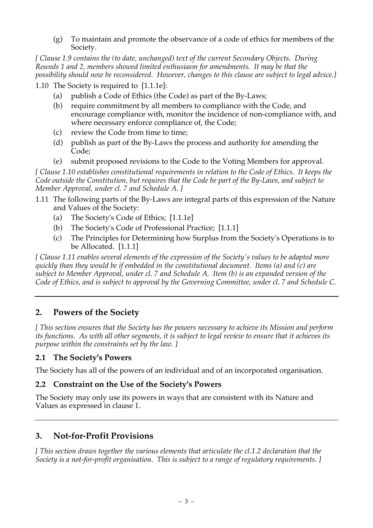(g) To maintain and promote the observance of a code of ethics for members of the Society.

*[ Clause 1.9 contains the (to date, unchanged) text of the current Secondary Objects. During Rounds 1 and 2, members showed limited enthusiasm for amendments. It may be that the possibility should now be reconsidered. However, changes to this clause are subject to legal advice.]*

1.10 The Society is required to [1.1.1e]:

- (a) publish a Code of Ethics (the Code) as part of the By-Laws;
- (b) require commitment by all members to compliance with the Code, and encourage compliance with, monitor the incidence of non-compliance with, and where necessary enforce compliance of, the Code;
- (c) review the Code from time to time;
- (d) publish as part of the By-Laws the process and authority for amending the Code;
- (e) submit proposed revisions to the Code to the Voting Members for approval.

*[ Clause 1.10 establishes constitutional requirements in relation to the Code of Ethics. It keeps the Code outside the Constitution, but requires that the Code be part of the By-Laws, and subject to Member Approval, under cl. 7 and Schedule A. ]*

- 1.11 The following parts of the By-Laws are integral parts of this expression of the Nature and Values of the Society:
	- (a) The Society's Code of Ethics; [1.1.1e]
	- (b) The Society's Code of Professional Practice; [1.1.1]
	- (c) The Principles for Determining how Surplus from the Society's Operations is to be Allocated. [1.1.1]

*[ Clause 1.11 enables several elements of the expression of the Society's values to be adapted more quickly than they would be if embedded in the constitutional document. Items (a) and (c) are subject to Member Approval, under cl. 7 and Schedule A. Item (b) is an expanded version of the Code of Ethics, and is subject to approval by the Governing Committee, under cl. 7 and Schedule C.* 

# **2. Powers of the Society**

*[ This section ensures that the Society has the powers necessary to achieve its Mission and perform its functions. As with all other segments, it is subject to legal review to ensure that it achieves its purpose within the constraints set by the law. ]*

### **2.1 The Society's Powers**

The Society has all of the powers of an individual and of an incorporated organisation.

### **2.2 Constraint on the Use of the Society's Powers**

The Society may only use its powers in ways that are consistent with its Nature and Values as expressed in clause 1.

# **3. Not-for-Profit Provisions**

*[ This section draws together the various elements that articulate the cl.1.2 declaration that the Society is a not-for-profit organisation. This is subject to a range of regulatory requirements. ]*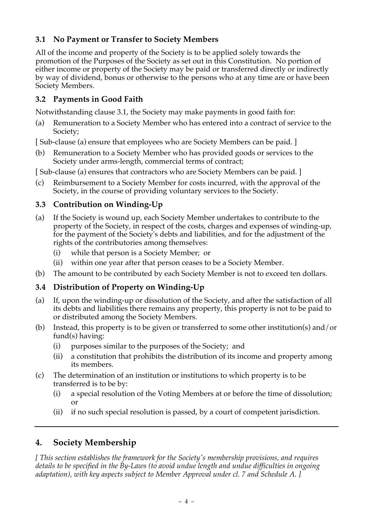# **3.1 No Payment or Transfer to Society Members**

All of the income and property of the Society is to be applied solely towards the promotion of the Purposes of the Society as set out in this Constitution. No portion of either income or property of the Society may be paid or transferred directly or indirectly by way of dividend, bonus or otherwise to the persons who at any time are or have been Society Members.

# **3.2 Payments in Good Faith**

Notwithstanding clause 3.1, the Society may make payments in good faith for:

- (a) Remuneration to a Society Member who has entered into a contract of service to the Society;
- [ Sub-clause (a) ensure that employees who are Society Members can be paid. ]
- (b) Remuneration to a Society Member who has provided goods or services to the Society under arms-length, commercial terms of contract;

[ Sub-clause (a) ensures that contractors who are Society Members can be paid. ]

(c) Reimbursement to a Society Member for costs incurred, with the approval of the Society, in the course of providing voluntary services to the Society.

# **3.3 Contribution on Winding-Up**

- (a) If the Society is wound up, each Society Member undertakes to contribute to the property of the Society, in respect of the costs, charges and expenses of winding-up, for the payment of the Society's debts and liabilities, and for the adjustment of the rights of the contributories among themselves:
	- (i) while that person is a Society Member; or
	- (ii) within one year after that person ceases to be a Society Member.
- (b) The amount to be contributed by each Society Member is not to exceed ten dollars.

## **3.4 Distribution of Property on Winding-Up**

- (a) If, upon the winding-up or dissolution of the Society, and after the satisfaction of all its debts and liabilities there remains any property, this property is not to be paid to or distributed among the Society Members.
- (b) Instead, this property is to be given or transferred to some other institution(s) and/or fund(s) having:
	- (i) purposes similar to the purposes of the Society; and
	- (ii) a constitution that prohibits the distribution of its income and property among its members.
- (c) The determination of an institution or institutions to which property is to be transferred is to be by:
	- (i) a special resolution of the Voting Members at or before the time of dissolution; or
	- (ii) if no such special resolution is passed, by a court of competent jurisdiction.

# **4. Society Membership**

*[ This section establishes the framework for the Society's membership provisions, and requires details to be specified in the By-Laws (to avoid undue length and undue difficulties in ongoing adaptation), with key aspects subject to Member Approval under cl. 7 and Schedule A. ]*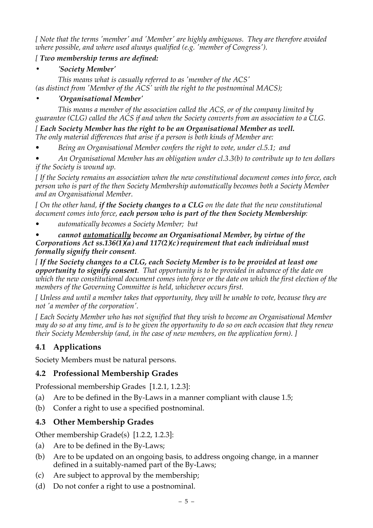*[ Note that the terms 'member' and 'Member' are highly ambiguous. They are therefore avoided where possible, and where used always qualified (e.g. 'member of Congress').* 

## *[ Two membership terms are defined:*

## *• 'Society Member'*

*This means what is casually referred to as 'member of the ACS' (as distinct from 'Member of the ACS' with the right to the postnominal MACS);*

## *• 'Organisational Member'*

*This means a member of the association called the ACS, or of the company limited by guarantee (CLG) called the ACS if and when the Society converts from an association to a CLG.*

*[ Each Society Member has the right to be an Organisational Member as well. The only material differences that arise if a person is both kinds of Member are:*

*• Being an Organisational Member confers the right to vote, under cl.5.1; and*

*• An Organisational Member has an obligation under cl.3.3(b) to contribute up to ten dollars if the Society is wound up.*

*[ If the Society remains an association when the new constitutional document comes into force, each person who is part of the then Society Membership automatically becomes both a Society Member and an Organisational Member.*

*[ On the other hand, if the Society changes to a CLG on the date that the new constitutional document comes into force, each person who is part of the then Society Membership:*

*• automatically becomes a Society Member; but*

#### *• cannot automatically become an Organisational Member, by virtue of the Corporations Act ss.136(1)(a) and 117(2)(c) requirement that each individual must formally signify their consent.*

*[ If the Society changes to a CLG, each Society Member is to be provided at least one opportunity to signify consent. That opportunity is to be provided in advance of the date on which the new constitutional document comes into force or the date on which the first election of the members of the Governing Committee is held, whichever occurs first.* 

*[ Unless and until a member takes that opportunity, they will be unable to vote, because they are not 'a member of the corporation'.*

*[ Each Society Member who has not signified that they wish to become an Organisational Member may do so at any time, and is to be given the opportunity to do so on each occasion that they renew their Society Membership (and, in the case of new members, on the application form). ]*

# **4.1 Applications**

Society Members must be natural persons.

## **4.2 Professional Membership Grades**

Professional membership Grades [1.2.1, 1.2.3]:

- (a) Are to be defined in the By-Laws in a manner compliant with clause 1.5;
- (b) Confer a right to use a specified postnominal.

# **4.3 Other Membership Grades**

Other membership Grade(s) [1.2.2, 1.2.3]:

- (a) Are to be defined in the By-Laws;
- (b) Are to be updated on an ongoing basis, to address ongoing change, in a manner defined in a suitably-named part of the By-Laws;
- (c) Are subject to approval by the membership;
- (d) Do not confer a right to use a postnominal.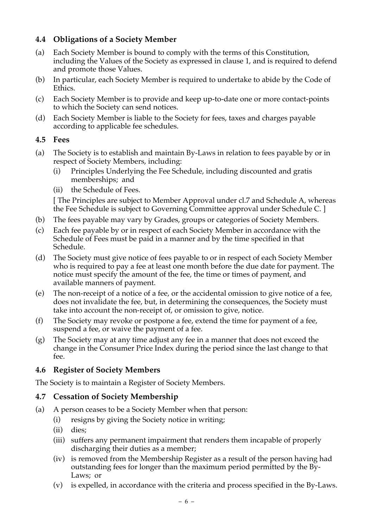## **4.4 Obligations of a Society Member**

- (a) Each Society Member is bound to comply with the terms of this Constitution, including the Values of the Society as expressed in clause 1, and is required to defend and promote those Values.
- (b) In particular, each Society Member is required to undertake to abide by the Code of Ethics.
- (c) Each Society Member is to provide and keep up-to-date one or more contact-points to which the Society can send notices.
- (d) Each Society Member is liable to the Society for fees, taxes and charges payable according to applicable fee schedules.

#### **4.5 Fees**

- (a) The Society is to establish and maintain By-Laws in relation to fees payable by or in respect of Society Members, including:
	- (i) Principles Underlying the Fee Schedule, including discounted and gratis memberships; and
	- (ii) the Schedule of Fees.

[ The Principles are subject to Member Approval under cl.7 and Schedule A, whereas the Fee Schedule is subject to Governing Committee approval under Schedule C. ]

- (b) The fees payable may vary by Grades, groups or categories of Society Members.
- (c) Each fee payable by or in respect of each Society Member in accordance with the Schedule of Fees must be paid in a manner and by the time specified in that Schedule.
- (d) The Society must give notice of fees payable to or in respect of each Society Member who is required to pay a fee at least one month before the due date for payment. The notice must specify the amount of the fee, the time or times of payment, and available manners of payment.
- (e) The non-receipt of a notice of a fee, or the accidental omission to give notice of a fee, does not invalidate the fee, but, in determining the consequences, the Society must take into account the non-receipt of, or omission to give, notice.
- (f) The Society may revoke or postpone a fee, extend the time for payment of a fee, suspend a fee, or waive the payment of a fee.
- (g) The Society may at any time adjust any fee in a manner that does not exceed the change in the Consumer Price Index during the period since the last change to that fee.

## **4.6 Register of Society Members**

The Society is to maintain a Register of Society Members.

### **4.7 Cessation of Society Membership**

- (a) A person ceases to be a Society Member when that person:
	- (i) resigns by giving the Society notice in writing;
	- (ii) dies;
	- (iii) suffers any permanent impairment that renders them incapable of properly discharging their duties as a member;
	- (iv) is removed from the Membership Register as a result of the person having had outstanding fees for longer than the maximum period permitted by the By-Laws; or
	- (v) is expelled, in accordance with the criteria and process specified in the By-Laws.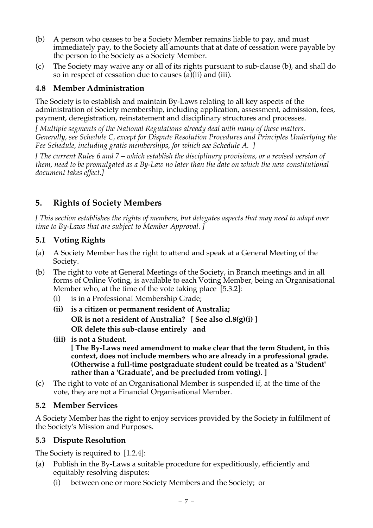- (b) A person who ceases to be a Society Member remains liable to pay, and must immediately pay, to the Society all amounts that at date of cessation were payable by the person to the Society as a Society Member.
- (c) The Society may waive any or all of its rights pursuant to sub-clause (b), and shall do so in respect of cessation due to causes (a)(ii) and (iii).

## **4.8 Member Administration**

The Society is to establish and maintain By-Laws relating to all key aspects of the administration of Society membership, including application, assessment, admission, fees, payment, deregistration, reinstatement and disciplinary structures and processes.

*[ Multiple segments of the National Regulations already deal with many of these matters. Generally, see Schedule C, except for Dispute Resolution Procedures and Principles Underlying the Fee Schedule, including gratis memberships, for which see Schedule A. ]*

*[ The current Rules 6 and 7 – which establish the disciplinary provisions, or a revised version of them, need to be promulgated as a By-Law no later than the date on which the new constitutional document takes effect.]*

# **5. Rights of Society Members**

*[ This section establishes the rights of members, but delegates aspects that may need to adapt over time to By-Laws that are subject to Member Approval. ]*

### **5.1 Voting Rights**

- (a) A Society Member has the right to attend and speak at a General Meeting of the Society.
- (b) The right to vote at General Meetings of the Society, in Branch meetings and in all forms of Online Voting, is available to each Voting Member, being an Organisational Member who, at the time of the vote taking place [5.3.2]:
	- (i) is in a Professional Membership Grade;
	- **(ii) is a citizen or permanent resident of Australia; OR is not a resident of Australia? [ See also cl.8(g)(i) ] OR delete this sub-clause entirely and**
	- **(iii) is not a Student. [ The By-Laws need amendment to make clear that the term Student, in this context, does not include members who are already in a professional grade. (Otherwise a full-time postgraduate student could be treated as a 'Student' rather than a 'Graduate', and be precluded from voting). ]**
- (c) The right to vote of an Organisational Member is suspended if, at the time of the vote, they are not a Financial Organisational Member.

## **5.2 Member Services**

A Society Member has the right to enjoy services provided by the Society in fulfilment of the Society's Mission and Purposes.

### **5.3 Dispute Resolution**

The Society is required to [1.2.4]:

- (a) Publish in the By-Laws a suitable procedure for expeditiously, efficiently and equitably resolving disputes:
	- (i) between one or more Society Members and the Society; or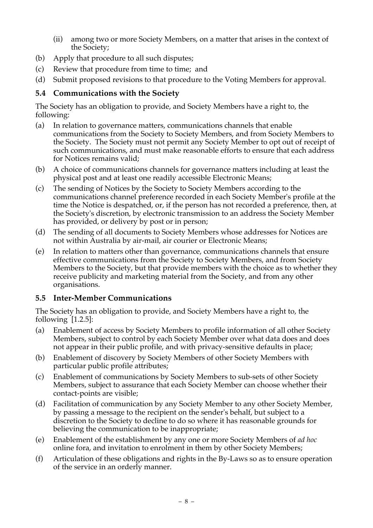- (ii) among two or more Society Members, on a matter that arises in the context of the Society;
- (b) Apply that procedure to all such disputes;
- (c) Review that procedure from time to time; and
- (d) Submit proposed revisions to that procedure to the Voting Members for approval.

## **5.4 Communications with the Society**

The Society has an obligation to provide, and Society Members have a right to, the following:

- (a) In relation to governance matters, communications channels that enable communications from the Society to Society Members, and from Society Members to the Society. The Society must not permit any Society Member to opt out of receipt of such communications, and must make reasonable efforts to ensure that each address for Notices remains valid;
- (b) A choice of communications channels for governance matters including at least the physical post and at least one readily accessible Electronic Means;
- (c) The sending of Notices by the Society to Society Members according to the communications channel preference recorded in each Society Member's profile at the time the Notice is despatched, or, if the person has not recorded a preference, then, at the Society's discretion, by electronic transmission to an address the Society Member has provided, or delivery by post or in person;
- (d) The sending of all documents to Society Members whose addresses for Notices are not within Australia by air-mail, air courier or Electronic Means;
- (e) In relation to matters other than governance, communications channels that ensure effective communications from the Society to Society Members, and from Society Members to the Society, but that provide members with the choice as to whether they receive publicity and marketing material from the Society, and from any other organisations.

### **5.5 Inter-Member Communications**

The Society has an obligation to provide, and Society Members have a right to, the following [1.2.5]:

- (a) Enablement of access by Society Members to profile information of all other Society Members, subject to control by each Society Member over what data does and does not appear in their public profile, and with privacy-sensitive defaults in place;
- (b) Enablement of discovery by Society Members of other Society Members with particular public profile attributes;
- (c) Enablement of communications by Society Members to sub-sets of other Society Members, subject to assurance that each Society Member can choose whether their contact-points are visible;
- (d) Facilitation of communication by any Society Member to any other Society Member, by passing a message to the recipient on the sender's behalf, but subject to a discretion to the Society to decline to do so where it has reasonable grounds for believing the communication to be inappropriate;
- (e) Enablement of the establishment by any one or more Society Members of *ad hoc* online fora, and invitation to enrolment in them by other Society Members;
- (f) Articulation of these obligations and rights in the By-Laws so as to ensure operation of the service in an orderly manner.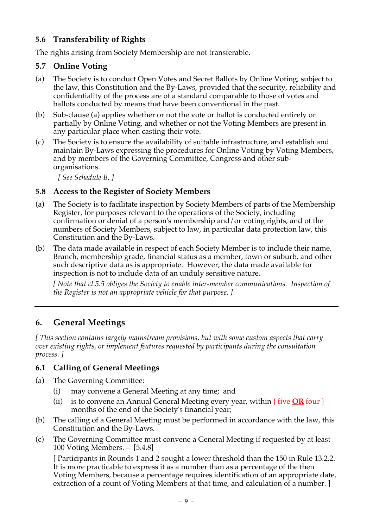# **5.6 Transferability of Rights**

The rights arising from Society Membership are not transferable.

# **5.7 Online Voting**

- (a) The Society is to conduct Open Votes and Secret Ballots by Online Voting, subject to the law, this Constitution and the By-Laws, provided that the security, reliability and confidentiality of the process are of a standard comparable to those of votes and ballots conducted by means that have been conventional in the past.
- (b) Sub-clause (a) applies whether or not the vote or ballot is conducted entirely or partially by Online Voting, and whether or not the Voting Members are present in any particular place when casting their vote.
- (c) The Society is to ensure the availability of suitable infrastructure, and establish and maintain By-Laws expressing the procedures for Online Voting by Voting Members, and by members of the Governing Committee, Congress and other suborganisations.

*[ See Schedule B. ]*

# **5.8 Access to the Register of Society Members**

- (a) The Society is to facilitate inspection by Society Members of parts of the Membership Register, for purposes relevant to the operations of the Society, including confirmation or denial of a person's membership and/or voting rights, and of the numbers of Society Members, subject to law, in particular data protection law, this Constitution and the By-Laws.
- (b) The data made available in respect of each Society Member is to include their name, Branch, membership grade, financial status as a member, town or suburb, and other such descriptive data as is appropriate. However, the data made available for inspection is not to include data of an unduly sensitive nature.

*[ Note that cl.5.5 obliges the Society to enable inter-member communications. Inspection of the Register is not an appropriate vehicle for that purpose. ]*

# **6. General Meetings**

*[ This section contains largely mainstream provisions, but with some custom aspects that carry over existing rights, or implement features requested by participants during the consultation process. ]*

# **6.1 Calling of General Meetings**

- (a) The Governing Committee:
	- (i) may convene a General Meeting at any time; and
	- (ii) is to convene an Annual General Meeting every year, within { five **OR** four } months of the end of the Society's financial year;
- (b) The calling of a General Meeting must be performed in accordance with the law, this Constitution and the By-Laws.
- (c) The Governing Committee must convene a General Meeting if requested by at least 100 Voting Members. – [5.4.8]

[ Participants in Rounds 1 and 2 sought a lower threshold than the 150 in Rule 13.2.2. It is more practicable to express it as a number than as a percentage of the then Voting Members, because a percentage requires identification of an appropriate date, extraction of a count of Voting Members at that time, and calculation of a number. ]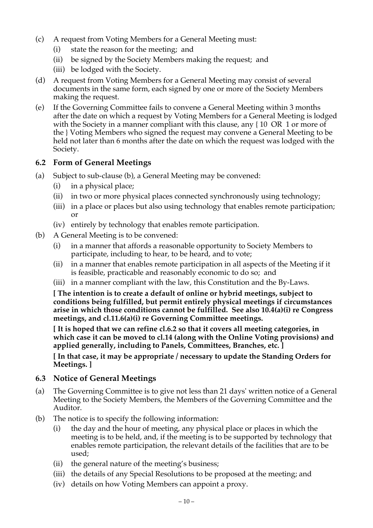- (c) A request from Voting Members for a General Meeting must:
	- (i) state the reason for the meeting; and
	- (ii) be signed by the Society Members making the request; and
	- (iii) be lodged with the Society.
- (d) A request from Voting Members for a General Meeting may consist of several documents in the same form, each signed by one or more of the Society Members making the request.
- (e) If the Governing Committee fails to convene a General Meeting within 3 months after the date on which a request by Voting Members for a General Meeting is lodged with the Society in a manner compliant with this clause, any {10 OR 1 or more of the } Voting Members who signed the request may convene a General Meeting to be held not later than 6 months after the date on which the request was lodged with the Society.

### **6.2 Form of General Meetings**

- (a) Subject to sub-clause (b), a General Meeting may be convened:
	- (i) in a physical place;
	- (ii) in two or more physical places connected synchronously using technology;
	- (iii) in a place or places but also using technology that enables remote participation; or
	- (iv) entirely by technology that enables remote participation.
- (b) A General Meeting is to be convened:
	- (i) in a manner that affords a reasonable opportunity to Society Members to participate, including to hear, to be heard, and to vote;
	- (ii) in a manner that enables remote participation in all aspects of the Meeting if it is feasible, practicable and reasonably economic to do so; and
	- (iii) in a manner compliant with the law, this Constitution and the By-Laws.

**[ The intention is to create a default of online or hybrid meetings, subject to conditions being fulfilled, but permit entirely physical meetings if circumstances arise in which those conditions cannot be fulfilled. See also 10.4(a)(i) re Congress meetings, and cl.11.6(a)(i) re Governing Committee meetings.**

**[ It is hoped that we can refine cl.6.2 so that it covers all meeting categories, in which case it can be moved to cl.14 (along with the Online Voting provisions) and applied generally, including to Panels, Committees, Branches, etc. ]**

**[ In that case, it may be appropriate / necessary to update the Standing Orders for Meetings. ]**

#### **6.3 Notice of General Meetings**

- (a) The Governing Committee is to give not less than 21 days' written notice of a General Meeting to the Society Members, the Members of the Governing Committee and the Auditor.
- (b) The notice is to specify the following information:
	- (i) the day and the hour of meeting, any physical place or places in which the meeting is to be held, and, if the meeting is to be supported by technology that enables remote participation, the relevant details of the facilities that are to be used;
	- (ii) the general nature of the meeting's business;
	- (iii) the details of any Special Resolutions to be proposed at the meeting; and
	- (iv) details on how Voting Members can appoint a proxy.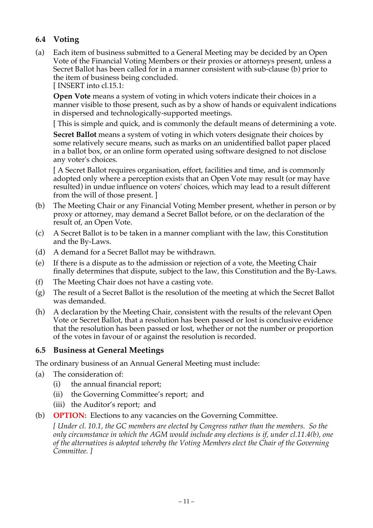# **6.4 Voting**

(a) Each item of business submitted to a General Meeting may be decided by an Open Vote of the Financial Voting Members or their proxies or attorneys present, unless a Secret Ballot has been called for in a manner consistent with sub-clause (b) prior to the item of business being concluded.

[ INSERT into cl.15.1:

**Open Vote** means a system of voting in which voters indicate their choices in a manner visible to those present, such as by a show of hands or equivalent indications in dispersed and technologically-supported meetings.

[ This is simple and quick, and is commonly the default means of determining a vote.

**Secret Ballot** means a system of voting in which voters designate their choices by some relatively secure means, such as marks on an unidentified ballot paper placed in a ballot box, or an online form operated using software designed to not disclose any voter's choices.

[ A Secret Ballot requires organisation, effort, facilities and time, and is commonly adopted only where a perception exists that an Open Vote may result (or may have resulted) in undue influence on voters' choices, which may lead to a result different from the will of those present. ]

- (b) The Meeting Chair or any Financial Voting Member present, whether in person or by proxy or attorney, may demand a Secret Ballot before, or on the declaration of the result of, an Open Vote.
- (c) A Secret Ballot is to be taken in a manner compliant with the law, this Constitution and the By-Laws.
- (d) A demand for a Secret Ballot may be withdrawn.
- (e) If there is a dispute as to the admission or rejection of a vote, the Meeting Chair finally determines that dispute, subject to the law, this Constitution and the By-Laws.
- (f) The Meeting Chair does not have a casting vote.
- (g) The result of a Secret Ballot is the resolution of the meeting at which the Secret Ballot was demanded.
- (h) A declaration by the Meeting Chair, consistent with the results of the relevant Open Vote or Secret Ballot, that a resolution has been passed or lost is conclusive evidence that the resolution has been passed or lost, whether or not the number or proportion of the votes in favour of or against the resolution is recorded.

## **6.5 Business at General Meetings**

The ordinary business of an Annual General Meeting must include:

- (a) The consideration of:
	- (i) the annual financial report;
	- (ii) the Governing Committee's report; and
	- (iii) the Auditor's report; and
- (b) **OPTION:** Elections to any vacancies on the Governing Committee.

*[ Under cl. 10.1, the GC members are elected by Congress rather than the members. So the only circumstance in which the AGM would include any elections is if, under cl.11.4(b), one of the alternatives is adopted whereby the Voting Members elect the Chair of the Governing Committee. ]*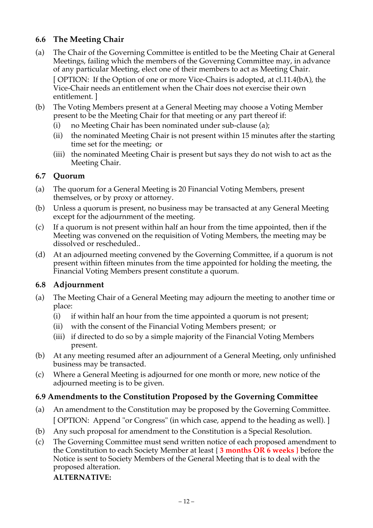# **6.6 The Meeting Chair**

(a) The Chair of the Governing Committee is entitled to be the Meeting Chair at General Meetings, failing which the members of the Governing Committee may, in advance of any particular Meeting, elect one of their members to act as Meeting Chair.

[ OPTION: If the Option of one or more Vice-Chairs is adopted, at cl.11.4(bA), the Vice-Chair needs an entitlement when the Chair does not exercise their own entitlement. ]

- (b) The Voting Members present at a General Meeting may choose a Voting Member present to be the Meeting Chair for that meeting or any part thereof if:
	- (i) no Meeting Chair has been nominated under sub-clause (a);
	- (ii) the nominated Meeting Chair is not present within 15 minutes after the starting time set for the meeting; or
	- (iii) the nominated Meeting Chair is present but says they do not wish to act as the Meeting Chair.

### **6.7 Quorum**

- (a) The quorum for a General Meeting is 20 Financial Voting Members, present themselves, or by proxy or attorney.
- (b) Unless a quorum is present, no business may be transacted at any General Meeting except for the adjournment of the meeting.
- (c) If a quorum is not present within half an hour from the time appointed, then if the Meeting was convened on the requisition of Voting Members, the meeting may be dissolved or rescheduled..
- (d) At an adjourned meeting convened by the Governing Committee, if a quorum is not present within fifteen minutes from the time appointed for holding the meeting, the Financial Voting Members present constitute a quorum.

## **6.8 Adjournment**

- (a) The Meeting Chair of a General Meeting may adjourn the meeting to another time or place:
	- (i) if within half an hour from the time appointed a quorum is not present;
	- (ii) with the consent of the Financial Voting Members present; or
	- (iii) if directed to do so by a simple majority of the Financial Voting Members present.
- (b) At any meeting resumed after an adjournment of a General Meeting, only unfinished business may be transacted.
- (c) Where a General Meeting is adjourned for one month or more, new notice of the adjourned meeting is to be given.

## **6.9 Amendments to the Constitution Proposed by the Governing Committee**

- (a) An amendment to the Constitution may be proposed by the Governing Committee. [ OPTION: Append "or Congress" (in which case, append to the heading as well). ]
- (b) Any such proposal for amendment to the Constitution is a Special Resolution.
- (c) The Governing Committee must send written notice of each proposed amendment to the Constitution to each Society Member at least { **3 months OR 6 weeks }** before the Notice is sent to Society Members of the General Meeting that is to deal with the proposed alteration.

### **ALTERNATIVE:**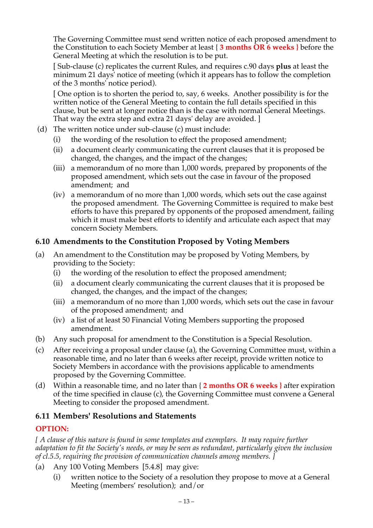The Governing Committee must send written notice of each proposed amendment to the Constitution to each Society Member at least { **3 months OR 6 weeks }** before the General Meeting at which the resolution is to be put.

[ Sub-clause (c) replicates the current Rules, and requires c.90 days **plus** at least the minimum 21 days' notice of meeting (which it appears has to follow the completion of the 3 months' notice period).

[ One option is to shorten the period to, say, 6 weeks. Another possibility is for the written notice of the General Meeting to contain the full details specified in this clause, but be sent at longer notice than is the case with normal General Meetings. That way the extra step and extra 21 days' delay are avoided. ]

- (d) The written notice under sub-clause (c) must include:
	- (i) the wording of the resolution to effect the proposed amendment;
	- (ii) a document clearly communicating the current clauses that it is proposed be changed, the changes, and the impact of the changes;
	- (iii) a memorandum of no more than 1,000 words, prepared by proponents of the proposed amendment, which sets out the case in favour of the proposed amendment; and
	- (iv) a memorandum of no more than 1,000 words, which sets out the case against the proposed amendment. The Governing Committee is required to make best efforts to have this prepared by opponents of the proposed amendment, failing which it must make best efforts to identify and articulate each aspect that may concern Society Members.

### **6.10 Amendments to the Constitution Proposed by Voting Members**

- (a) An amendment to the Constitution may be proposed by Voting Members, by providing to the Society:
	- (i) the wording of the resolution to effect the proposed amendment;
	- (ii) a document clearly communicating the current clauses that it is proposed be changed, the changes, and the impact of the changes;
	- (iii) a memorandum of no more than 1,000 words, which sets out the case in favour of the proposed amendment; and
	- (iv) a list of at least 50 Financial Voting Members supporting the proposed amendment.
- (b) Any such proposal for amendment to the Constitution is a Special Resolution.
- (c) After receiving a proposal under clause (a), the Governing Committee must, within a reasonable time, and no later than 6 weeks after receipt, provide written notice to Society Members in accordance with the provisions applicable to amendments proposed by the Governing Committee.
- (d) Within a reasonable time, and no later than { **2 months OR 6 weeks }** after expiration of the time specified in clause (c), the Governing Committee must convene a General Meeting to consider the proposed amendment.

### **6.11 Members' Resolutions and Statements**

### **OPTION:**

*[ A clause of this nature is found in some templates and exemplars. It may require further adaptation to fit the Society's needs, or may be seen as redundant, particularly given the inclusion of cl.5.5, requiring the provision of communication channels among members. ]*

- (a) Any 100 Voting Members [5.4.8] may give:
	- (i) written notice to the Society of a resolution they propose to move at a General Meeting (members' resolution); and/or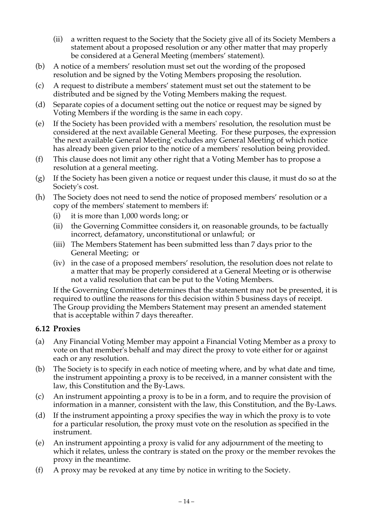- (ii) a written request to the Society that the Society give all of its Society Members a statement about a proposed resolution or any other matter that may properly be considered at a General Meeting (members' statement).
- (b) A notice of a members' resolution must set out the wording of the proposed resolution and be signed by the Voting Members proposing the resolution.
- (c) A request to distribute a members' statement must set out the statement to be distributed and be signed by the Voting Members making the request.
- (d) Separate copies of a document setting out the notice or request may be signed by Voting Members if the wording is the same in each copy.
- (e) If the Society has been provided with a members' resolution, the resolution must be considered at the next available General Meeting. For these purposes, the expression 'the next available General Meeting' excludes any General Meeting of which notice has already been given prior to the notice of a members' resolution being provided.
- (f) This clause does not limit any other right that a Voting Member has to propose a resolution at a general meeting.
- (g) If the Society has been given a notice or request under this clause, it must do so at the Society's cost.
- (h) The Society does not need to send the notice of proposed members' resolution or a copy of the members' statement to members if:
	- (i) it is more than 1,000 words long; or
	- (ii) the Governing Committee considers it, on reasonable grounds, to be factually incorrect, defamatory, unconstitutional or unlawful; or
	- (iii) The Members Statement has been submitted less than 7 days prior to the General Meeting; or
	- (iv) in the case of a proposed members' resolution, the resolution does not relate to a matter that may be properly considered at a General Meeting or is otherwise not a valid resolution that can be put to the Voting Members.

If the Governing Committee determines that the statement may not be presented, it is required to outline the reasons for this decision within 5 business days of receipt. The Group providing the Members Statement may present an amended statement that is acceptable within 7 days thereafter.

### **6.12 Proxies**

- (a) Any Financial Voting Member may appoint a Financial Voting Member as a proxy to vote on that member's behalf and may direct the proxy to vote either for or against each or any resolution.
- (b) The Society is to specify in each notice of meeting where, and by what date and time, the instrument appointing a proxy is to be received, in a manner consistent with the law, this Constitution and the By-Laws.
- (c) An instrument appointing a proxy is to be in a form, and to require the provision of information in a manner, consistent with the law, this Constitution, and the By-Laws.
- (d) If the instrument appointing a proxy specifies the way in which the proxy is to vote for a particular resolution, the proxy must vote on the resolution as specified in the instrument.
- (e) An instrument appointing a proxy is valid for any adjournment of the meeting to which it relates, unless the contrary is stated on the proxy or the member revokes the proxy in the meantime.
- (f) A proxy may be revoked at any time by notice in writing to the Society.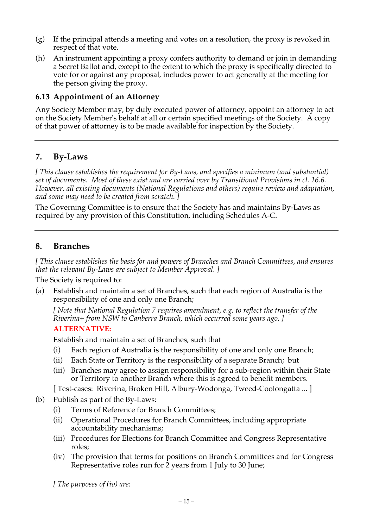- (g) If the principal attends a meeting and votes on a resolution, the proxy is revoked in respect of that vote.
- (h) An instrument appointing a proxy confers authority to demand or join in demanding a Secret Ballot and, except to the extent to which the proxy is specifically directed to vote for or against any proposal, includes power to act generally at the meeting for the person giving the proxy.

### **6.13 Appointment of an Attorney**

Any Society Member may, by duly executed power of attorney, appoint an attorney to act on the Society Member's behalf at all or certain specified meetings of the Society. A copy of that power of attorney is to be made available for inspection by the Society.

### **7. By-Laws**

*[ This clause establishes the requirement for By-Laws, and specifies a minimum (and substantial) set of documents. Most of these exist and are carried over by Transitional Provisions in cl. 16.6. However. all existing documents (National Regulations and others) require review and adaptation, and some may need to be created from scratch. ]*

The Governing Committee is to ensure that the Society has and maintains By-Laws as required by any provision of this Constitution, including Schedules A-C.

### **8. Branches**

*[ This clause establishes the basis for and powers of Branches and Branch Committees, and ensures that the relevant By-Laws are subject to Member Approval. ]*

The Society is required to:

(a) Establish and maintain a set of Branches, such that each region of Australia is the responsibility of one and only one Branch;

*[ Note that National Regulation 7 requires amendment, e.g. to reflect the transfer of the Riverina+ from NSW to Canberra Branch, which occurred some years ago. ]*

### **ALTERNATIVE:**

Establish and maintain a set of Branches, such that

- (i) Each region of Australia is the responsibility of one and only one Branch;
- (ii) Each State or Territory is the responsibility of a separate Branch; but
- (iii) Branches may agree to assign responsibility for a sub-region within their State or Territory to another Branch where this is agreed to benefit members.

[ Test-cases: Riverina, Broken Hill, Albury-Wodonga, Tweed-Coolongatta ... ]

- (b) Publish as part of the By-Laws:
	- (i) Terms of Reference for Branch Committees;
	- (ii) Operational Procedures for Branch Committees, including appropriate accountability mechanisms;
	- (iii) Procedures for Elections for Branch Committee and Congress Representative roles;
	- (iv) The provision that terms for positions on Branch Committees and for Congress Representative roles run for 2 years from 1 July to 30 June;

*[ The purposes of (iv) are:*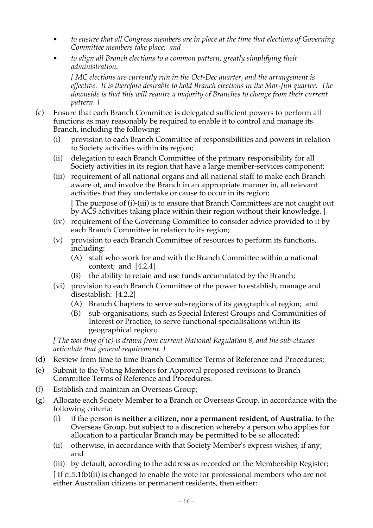- *• to ensure that all Congress members are in place at the time that elections of Governing Committee members take place; and*
- *• to align all Branch elections to a common pattern, greatly simplifying their administration.*

*[ MC elections are currently run in the Oct-Dec quarter, and the arrangement is effective. It is therefore desirable to hold Branch elections in the Mar-Jun quarter. The downside is that this will require a majority of Branches to change from their current pattern. ]*

- (c) Ensure that each Branch Committee is delegated sufficient powers to perform all functions as may reasonably be required to enable it to control and manage its Branch, including the following:
	- (i) provision to each Branch Committee of responsibilities and powers in relation to Society activities within its region;
	- (ii) delegation to each Branch Committee of the primary responsibility for all Society activities in its region that have a large member-services component;
	- (iii) requirement of all national organs and all national staff to make each Branch aware of, and involve the Branch in an appropriate manner in, all relevant activities that they undertake or cause to occur in its region;

[ The purpose of (i)-(iii) is to ensure that Branch Committees are not caught out by ACS activities taking place within their region without their knowledge. ]

- (iv) requirement of the Governing Committee to consider advice provided to it by each Branch Committee in relation to its region;
- (v) provision to each Branch Committee of resources to perform its functions, including:
	- (A) staff who work for and with the Branch Committee within a national context; and [4.2.4]
	- (B) the ability to retain and use funds accumulated by the Branch;
- (vi) provision to each Branch Committee of the power to establish, manage and disestablish: [4.2.2]
	- (A) Branch Chapters to serve sub-regions of its geographical region; and
	- (B) sub-organisations, such as Special Interest Groups and Communities of Interest or Practice, to serve functional specialisations within its geographical region;

*[ The wording of (c) is drawn from current National Regulation 8, and the sub-clauses articulate that general requirement. ]*

- (d) Review from time to time Branch Committee Terms of Reference and Procedures;
- (e) Submit to the Voting Members for Approval proposed revisions to Branch Committee Terms of Reference and Procedures.
- (f) Establish and maintain an Overseas Group;
- (g) Allocate each Society Member to a Branch or Overseas Group, in accordance with the following criteria:
	- (i) if the person is **neither a citizen, nor a permanent resident, of Australia**, to the Overseas Group, but subject to a discretion whereby a person who applies for allocation to a particular Branch may be permitted to be so allocated;
	- (ii) otherwise, in accordance with that Society Member's express wishes, if any; and
	- (iii) by default, according to the address as recorded on the Membership Register;

[ If cl.5.1(b)(ii) is changed to enable the vote for professional members who are not either Australian citizens or permanent residents, then either: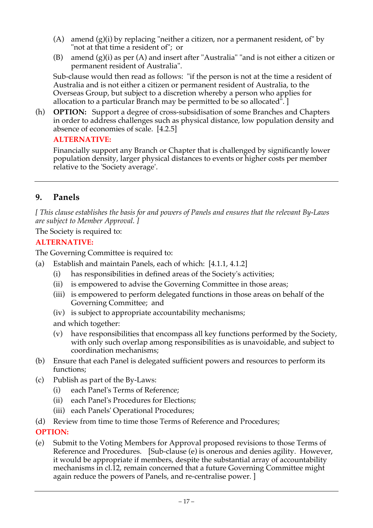- (A) amend  $(g)(i)$  by replacing "neither a citizen, nor a permanent resident, of" by "not at that time a resident of"; or
- (B) amend  $(g)(i)$  as per  $(A)$  and insert after "Australia" "and is not either a citizen or permanent resident of Australia".

Sub-clause would then read as follows: "if the person is not at the time a resident of Australia and is not either a citizen or permanent resident of Australia, to the Overseas Group, but subject to a discretion whereby a person who applies for allocation to a particular Branch may be permitted to be so allocated". ]

(h) **OPTION:** Support a degree of cross-subsidisation of some Branches and Chapters in order to address challenges such as physical distance, low population density and absence of economies of scale. [4.2.5]

### **ALTERNATIVE:**

Financially support any Branch or Chapter that is challenged by significantly lower population density, larger physical distances to events or higher costs per member relative to the 'Society average'.

# **9. Panels**

*[ This clause establishes the basis for and powers of Panels and ensures that the relevant By-Laws are subject to Member Approval. ]*

The Society is required to:

# **ALTERNATIVE:**

The Governing Committee is required to:

- (a) Establish and maintain Panels, each of which: [4.1.1, 4.1.2]
	- (i) has responsibilities in defined areas of the Society's activities;
	- (ii) is empowered to advise the Governing Committee in those areas;
	- (iii) is empowered to perform delegated functions in those areas on behalf of the Governing Committee; and
	- (iv) is subject to appropriate accountability mechanisms;
	- and which together:
	- (v) have responsibilities that encompass all key functions performed by the Society, with only such overlap among responsibilities as is unavoidable, and subject to coordination mechanisms;
- (b) Ensure that each Panel is delegated sufficient powers and resources to perform its functions;
- (c) Publish as part of the By-Laws:
	- (i) each Panel's Terms of Reference;
	- (ii) each Panel's Procedures for Elections;
	- (iii) each Panels' Operational Procedures;
- (d) Review from time to time those Terms of Reference and Procedures;

## **OPTION:**

(e) Submit to the Voting Members for Approval proposed revisions to those Terms of Reference and Procedures. [Sub-clause (e) is onerous and denies agility. However, it would be appropriate if members, despite the substantial array of accountability mechanisms in cl.12, remain concerned that a future Governing Committee might again reduce the powers of Panels, and re-centralise power. ]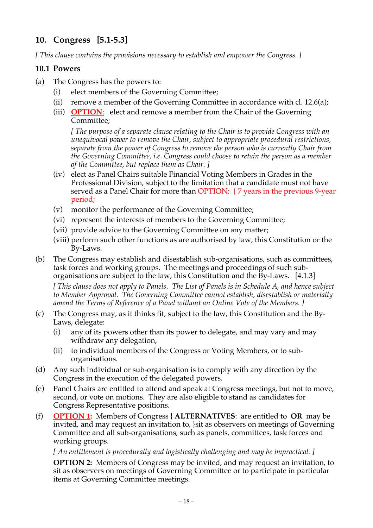# **10. Congress [5.1-5.3]**

*[ This clause contains the provisions necessary to establish and empower the Congress. ]*

### **10.1 Powers**

- (a) The Congress has the powers to:
	- (i) elect members of the Governing Committee;
	- (ii) remove a member of the Governing Committee in accordance with cl. 12.6(a);
	- (iii) **OPTION**: elect and remove a member from the Chair of the Governing Committee;

*[ The purpose of a separate clause relating to the Chair is to provide Congress with an unequivocal power to remove the Chair, subject to appropriate procedural restrictions, separate from the power of Congress to remove the person who is currently Chair from the Governing Committee, i.e. Congress could choose to retain the person as a member of the Committee, but replace them as Chair. ]*

- (iv) elect as Panel Chairs suitable Financial Voting Members in Grades in the Professional Division, subject to the limitation that a candidate must not have served as a Panel Chair for more than OPTION: { 7 years in the previous 9-year period;
- (v) monitor the performance of the Governing Committee;
- (vi) represent the interests of members to the Governing Committee;
- (vii) provide advice to the Governing Committee on any matter;
- (viii) perform such other functions as are authorised by law, this Constitution or the By-Laws.
- (b) The Congress may establish and disestablish sub-organisations, such as committees, task forces and working groups. The meetings and proceedings of such suborganisations are subject to the law, this Constitution and the By-Laws. [4.1.3]

*[ This clause does not apply to Panels. The List of Panels is in Schedule A, and hence subject to Member Approval. The Governing Committee cannot establish, disestablish or materially amend the Terms of Reference of a Panel without an Online Vote of the Members. ]*

- (c) The Congress may, as it thinks fit, subject to the law, this Constitution and the By-Laws, delegate:
	- (i) any of its powers other than its power to delegate, and may vary and may withdraw any delegation,
	- (ii) to individual members of the Congress or Voting Members, or to suborganisations.
- (d) Any such individual or sub-organisation is to comply with any direction by the Congress in the execution of the delegated powers.
- (e) Panel Chairs are entitled to attend and speak at Congress meetings, but not to move, second, or vote on motions. They are also eligible to stand as candidates for Congress Representative positions.
- (f) **OPTION 1:** Members of Congress **{ ALTERNATIVES**: are entitled to **OR** may be invited, and may request an invitation to, }sit as observers on meetings of Governing Committee and all sub-organisations, such as panels, committees, task forces and working groups.

*[ An entitlement is procedurally and logistically challenging and may be impractical. ]*

**OPTION 2:** Members of Congress may be invited, and may request an invitation, to sit as observers on meetings of Governing Committee or to participate in particular items at Governing Committee meetings.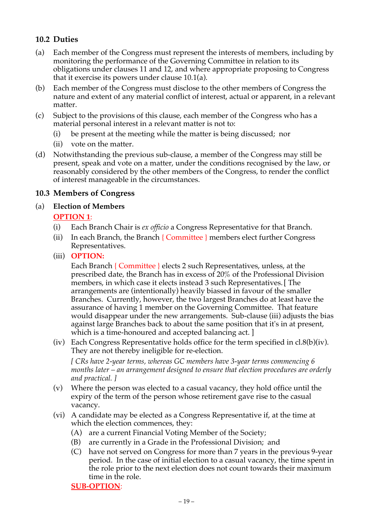# **10.2 Duties**

- (a) Each member of the Congress must represent the interests of members, including by monitoring the performance of the Governing Committee in relation to its obligations under clauses 11 and 12, and where appropriate proposing to Congress that it exercise its powers under clause 10.1(a).
- (b) Each member of the Congress must disclose to the other members of Congress the nature and extent of any material conflict of interest, actual or apparent, in a relevant matter.
- (c) Subject to the provisions of this clause, each member of the Congress who has a material personal interest in a relevant matter is not to:
	- (i) be present at the meeting while the matter is being discussed; nor
	- (ii) vote on the matter.
- (d) Notwithstanding the previous sub-clause, a member of the Congress may still be present, speak and vote on a matter, under the conditions recognised by the law, or reasonably considered by the other members of the Congress, to render the conflict of interest manageable in the circumstances.

#### **10.3 Members of Congress**

#### (a) **Election of Members**

#### **OPTION 1**:

- (i) Each Branch Chair is *ex officio* a Congress Representative for that Branch.
- (ii) In each Branch, the Branch  $\{$  Committee  $\}$  members elect further Congress Representatives.
- (iii) **OPTION:**

Each Branch { Committee } elects 2 such Representatives, unless, at the prescribed date, the Branch has in excess of 20% of the Professional Division members, in which case it elects instead 3 such Representatives.[ The arrangements are (intentionally) heavily biassed in favour of the smaller Branches. Currently, however, the two largest Branches do at least have the assurance of having 1 member on the Governing Committee. That feature would disappear under the new arrangements. Sub-clause (iii) adjusts the bias against large Branches back to about the same position that it's in at present, which is a time-honoured and accepted balancing act. 1

(iv) Each Congress Representative holds office for the term specified in cl.8(b)(iv). They are not thereby ineligible for re-election.

*[ CRs have 2-year terms, whereas GC members have 3-year terms commencing 6 months later – an arrangement designed to ensure that election procedures are orderly and practical. ]*

- (v) Where the person was elected to a casual vacancy, they hold office until the expiry of the term of the person whose retirement gave rise to the casual vacancy.
- (vi) A candidate may be elected as a Congress Representative if, at the time at which the election commences, they:
	- (A) are a current Financial Voting Member of the Society;
	- (B) are currently in a Grade in the Professional Division; and
	- (C) have not served on Congress for more than 7 years in the previous 9-year period. In the case of initial election to a casual vacancy, the time spent in the role prior to the next election does not count towards their maximum time in the role.

**SUB-OPTION**: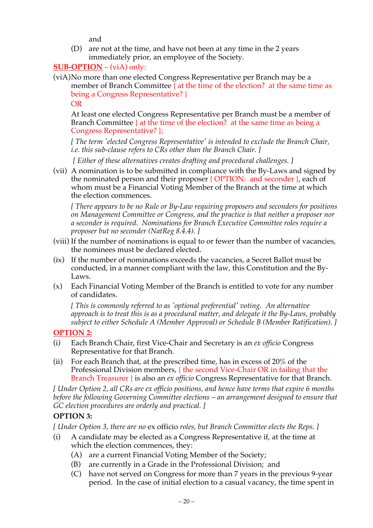and

(D) are not at the time, and have not been at any time in the 2 years immediately prior, an employee of the Society.

## **SUB-OPTION** – (viA) only:

(viA)No more than one elected Congress Representative per Branch may be a member of Branch Committee  $\{$  at the time of the election? at the same time as being a Congress Representative? }

OR

At least one elected Congress Representative per Branch must be a member of Branch Committee { at the time of the election? at the same time as being a Congress Representative? };

*[ The term 'elected Congress Representative' is intended to exclude the Branch Chair, i.e. this sub-clause refers to CRs other than the Branch Chair. ]*

*[ Either of these alternatives creates drafting and procedural challenges. ]*

(vii) A nomination is to be submitted in compliance with the By-Laws and signed by the nominated person and their proposer { OPTION: and seconder }, each of whom must be a Financial Voting Member of the Branch at the time at which the election commences.

*[ There appears to be no Rule or By-Law requiring proposers and seconders for positions on Management Committee or Congress, and the practice is that neither a proposer nor a seconder is required. Nominations for Branch Executive Committee roles require a proposer but no seconder (NatReg 8.4.4). ]*

- (viii) If the number of nominations is equal to or fewer than the number of vacancies, the nominees must be declared elected.
- (ix) If the number of nominations exceeds the vacancies, a Secret Ballot must be conducted, in a manner compliant with the law, this Constitution and the By-Laws.
- (x) Each Financial Voting Member of the Branch is entitled to vote for any number of candidates.

*[ This is commonly referred to as 'optional preferential' voting. An alternative approach is to treat this is as a procedural matter, and delegate it the By-Laws, probably subject to either Schedule A (Member Approval) or Schedule B (Member Ratification). ]*

## **OPTION 2:**

- (i) Each Branch Chair, first Vice-Chair and Secretary is an *ex officio* Congress Representative for that Branch.
- (ii) For each Branch that, at the prescribed time, has in excess of 20% of the Professional Division members, { the second Vice-Chair OR in failing that the Branch Treasurer } is also an *ex officio* Congress Representative for that Branch.

*[ Under Option 2, all CRs are ex officio positions, and hence have terms that expire 6 months before the following Governing Committee elections – an arrangement designed to ensure that GC election procedures are orderly and practical. ]*

## **OPTION 3:**

*[ Under Option 3, there are no* ex officio *roles, but Branch Committee elects the Reps. ]*

- (i) A candidate may be elected as a Congress Representative if, at the time at which the election commences, they:
	- (A) are a current Financial Voting Member of the Society;
	- (B) are currently in a Grade in the Professional Division; and
	- (C) have not served on Congress for more than 7 years in the previous 9-year period. In the case of initial election to a casual vacancy, the time spent in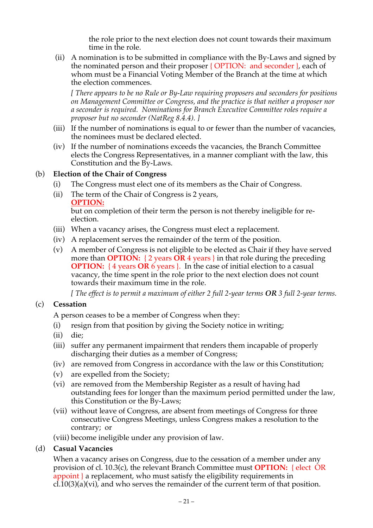the role prior to the next election does not count towards their maximum time in the role.

 (ii) A nomination is to be submitted in compliance with the By-Laws and signed by the nominated person and their proposer { OPTION: and seconder }, each of whom must be a Financial Voting Member of the Branch at the time at which the election commences.

*[ There appears to be no Rule or By-Law requiring proposers and seconders for positions on Management Committee or Congress, and the practice is that neither a proposer nor a seconder is required. Nominations for Branch Executive Committee roles require a proposer but no seconder (NatReg 8.4.4). ]*

- (iii) If the number of nominations is equal to or fewer than the number of vacancies, the nominees must be declared elected.
- (iv) If the number of nominations exceeds the vacancies, the Branch Committee elects the Congress Representatives, in a manner compliant with the law, this Constitution and the By-Laws.

### (b) **Election of the Chair of Congress**

- (i) The Congress must elect one of its members as the Chair of Congress.
- (ii) The term of the Chair of Congress is 2 years,
	- **OPTION:**

but on completion of their term the person is not thereby ineligible for reelection.

- (iii) When a vacancy arises, the Congress must elect a replacement.
- (iv) A replacement serves the remainder of the term of the position.
- (v) A member of Congress is not eligible to be elected as Chair if they have served more than **OPTION:** { 2 years **OR** 4 years } in that role during the preceding **OPTION:** { 4 years **OR** 6 years }. In the case of initial election to a casual vacancy, the time spent in the role prior to the next election does not count towards their maximum time in the role.

*[ The effect is to permit a maximum of either 2 full 2-year terms OR 3 full 2-year terms.* 

### (c) **Cessation**

A person ceases to be a member of Congress when they:

- (i) resign from that position by giving the Society notice in writing;
- (ii) die;
- (iii) suffer any permanent impairment that renders them incapable of properly discharging their duties as a member of Congress;
- (iv) are removed from Congress in accordance with the law or this Constitution;
- (v) are expelled from the Society;
- (vi) are removed from the Membership Register as a result of having had outstanding fees for longer than the maximum period permitted under the law, this Constitution or the By-Laws;
- (vii) without leave of Congress, are absent from meetings of Congress for three consecutive Congress Meetings, unless Congress makes a resolution to the contrary; or
- (viii) become ineligible under any provision of law.

### (d) **Casual Vacancies**

When a vacancy arises on Congress, due to the cessation of a member under any provision of cl. 10.3(c), the relevant Branch Committee must **OPTION:** { elect OR appoint } a replacement, who must satisfy the eligibility requirements in cl.10(3)(a)(vi), and who serves the remainder of the current term of that position.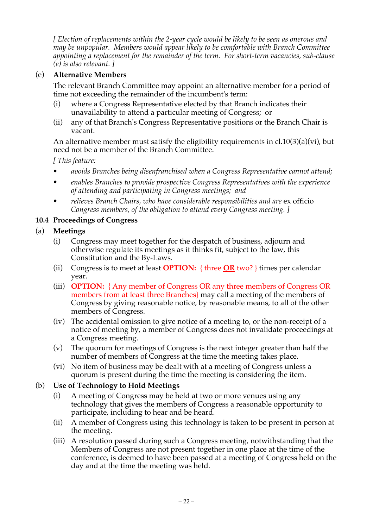*[ Election of replacements within the 2-year cycle would be likely to be seen as onerous and may be unpopular. Members would appear likely to be comfortable with Branch Committee appointing a replacement for the remainder of the term. For short-term vacancies, sub-clause (e) is also relevant. ]*

### (e) **Alternative Members**

The relevant Branch Committee may appoint an alternative member for a period of time not exceeding the remainder of the incumbent's term:

- (i) where a Congress Representative elected by that Branch indicates their unavailability to attend a particular meeting of Congress; or
- (ii) any of that Branch's Congress Representative positions or the Branch Chair is vacant.

An alternative member must satisfy the eligibility requirements in  $cl.10(3)(a)(vi)$ , but need not be a member of the Branch Committee.

*[ This feature:*

- *• avoids Branches being disenfranchised when a Congress Representative cannot attend;*
- *• enables Branches to provide prospective Congress Representatives with the experience of attending and participating in Congress meetings; and*
- *• relieves Branch Chairs, who have considerable responsibilities and are* ex officio *Congress members, of the obligation to attend every Congress meeting. ]*

### **10.4 Proceedings of Congress**

### (a) **Meetings**

- (i) Congress may meet together for the despatch of business, adjourn and otherwise regulate its meetings as it thinks fit, subject to the law, this Constitution and the By-Laws.
- (ii) Congress is to meet at least **OPTION:** { three **OR** two? } times per calendar year.
- (iii) **OPTION:** { Any member of Congress OR any three members of Congress OR members from at least three Branches} may call a meeting of the members of Congress by giving reasonable notice, by reasonable means, to all of the other members of Congress.
- (iv) The accidental omission to give notice of a meeting to, or the non-receipt of a notice of meeting by, a member of Congress does not invalidate proceedings at a Congress meeting.
- (v) The quorum for meetings of Congress is the next integer greater than half the number of members of Congress at the time the meeting takes place.
- (vi) No item of business may be dealt with at a meeting of Congress unless a quorum is present during the time the meeting is considering the item.

### (b) **Use of Technology to Hold Meetings**

- (i) A meeting of Congress may be held at two or more venues using any technology that gives the members of Congress a reasonable opportunity to participate, including to hear and be heard.
- (ii) A member of Congress using this technology is taken to be present in person at the meeting.
- (iii) A resolution passed during such a Congress meeting, notwithstanding that the Members of Congress are not present together in one place at the time of the conference, is deemed to have been passed at a meeting of Congress held on the day and at the time the meeting was held.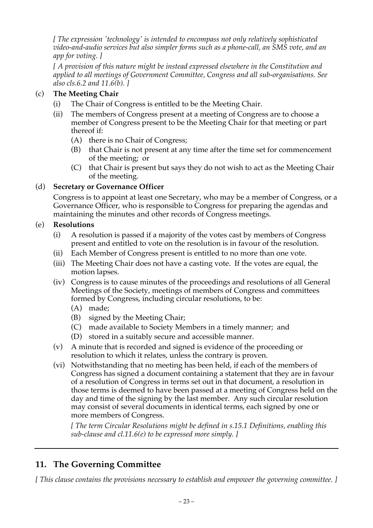*[ The expression 'technology' is intended to encompass not only relatively sophisticated video-and-audio services but also simpler forms such as a phone-call, an SMS vote, and an app for voting. ]*

*[ A provision of this nature might be instead expressed elsewhere in the Constitution and applied to all meetings of Government Committee, Congress and all sub-organisations. See also cls.6.2 and 11.6(b). ]*

## (c) **The Meeting Chair**

- (i) The Chair of Congress is entitled to be the Meeting Chair.
- (ii) The members of Congress present at a meeting of Congress are to choose a member of Congress present to be the Meeting Chair for that meeting or part thereof if:
	- (A) there is no Chair of Congress;
	- (B) that Chair is not present at any time after the time set for commencement of the meeting; or
	- (C) that Chair is present but says they do not wish to act as the Meeting Chair of the meeting.

### (d) **Secretary or Governance Officer**

Congress is to appoint at least one Secretary, who may be a member of Congress, or a Governance Officer, who is responsible to Congress for preparing the agendas and maintaining the minutes and other records of Congress meetings.

### (e) **Resolutions**

- (i) A resolution is passed if a majority of the votes cast by members of Congress present and entitled to vote on the resolution is in favour of the resolution.
- (ii) Each Member of Congress present is entitled to no more than one vote.
- (iii) The Meeting Chair does not have a casting vote. If the votes are equal, the motion lapses.
- (iv) Congress is to cause minutes of the proceedings and resolutions of all General Meetings of the Society, meetings of members of Congress and committees formed by Congress, including circular resolutions, to be:
	- (A) made;
	- (B) signed by the Meeting Chair;
	- (C) made available to Society Members in a timely manner; and
	- (D) stored in a suitably secure and accessible manner.
- (v) A minute that is recorded and signed is evidence of the proceeding or resolution to which it relates, unless the contrary is proven.
- (vi) Notwithstanding that no meeting has been held, if each of the members of Congress has signed a document containing a statement that they are in favour of a resolution of Congress in terms set out in that document, a resolution in those terms is deemed to have been passed at a meeting of Congress held on the day and time of the signing by the last member. Any such circular resolution may consist of several documents in identical terms, each signed by one or more members of Congress.

*[ The term Circular Resolutions might be defined in s.15.1 Definitions, enabling this sub-clause and cl.11.6(e) to be expressed more simply. ]*

# **11. The Governing Committee**

*[ This clause contains the provisions necessary to establish and empower the governing committee. ]*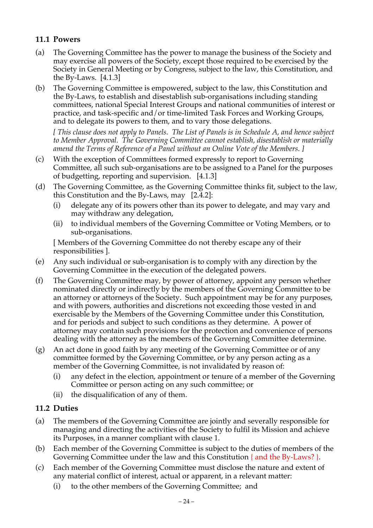# **11.1 Powers**

- (a) The Governing Committee has the power to manage the business of the Society and may exercise all powers of the Society, except those required to be exercised by the Society in General Meeting or by Congress, subject to the law, this Constitution, and the By-Laws. [4.1.3]
- (b) The Governing Committee is empowered, subject to the law, this Constitution and the By-Laws, to establish and disestablish sub-organisations including standing committees, national Special Interest Groups and national communities of interest or practice, and task-specific and/or time-limited Task Forces and Working Groups, and to delegate its powers to them, and to vary those delegations.

*[ This clause does not apply to Panels. The List of Panels is in Schedule A, and hence subject to Member Approval. The Governing Committee cannot establish, disestablish or materially amend the Terms of Reference of a Panel without an Online Vote of the Members. ]*

- (c) With the exception of Committees formed expressly to report to Governing Committee, all such sub-organisations are to be assigned to a Panel for the purposes of budgetting, reporting and supervision. [4.1.3]
- (d) The Governing Committee, as the Governing Committee thinks fit, subject to the law, this Constitution and the By-Laws, may [2.4.2]:
	- (i) delegate any of its powers other than its power to delegate, and may vary and may withdraw any delegation,
	- (ii) to individual members of the Governing Committee or Voting Members, or to sub-organisations.

[ Members of the Governing Committee do not thereby escape any of their responsibilities ].

- (e) Any such individual or sub-organisation is to comply with any direction by the Governing Committee in the execution of the delegated powers.
- (f) The Governing Committee may, by power of attorney, appoint any person whether nominated directly or indirectly by the members of the Governing Committee to be an attorney or attorneys of the Society. Such appointment may be for any purposes, and with powers, authorities and discretions not exceeding those vested in and exercisable by the Members of the Governing Committee under this Constitution, and for periods and subject to such conditions as they determine. A power of attorney may contain such provisions for the protection and convenience of persons dealing with the attorney as the members of the Governing Committee determine.
- (g) An act done in good faith by any meeting of the Governing Committee or of any committee formed by the Governing Committee, or by any person acting as a member of the Governing Committee, is not invalidated by reason of:
	- (i) any defect in the election, appointment or tenure of a member of the Governing Committee or person acting on any such committee; or
	- (ii) the disqualification of any of them.

## **11.2 Duties**

- (a) The members of the Governing Committee are jointly and severally responsible for managing and directing the activities of the Society to fulfil its Mission and achieve its Purposes, in a manner compliant with clause 1.
- (b) Each member of the Governing Committee is subject to the duties of members of the Governing Committee under the law and this Constitution { and the By-Laws? }.
- (c) Each member of the Governing Committee must disclose the nature and extent of any material conflict of interest, actual or apparent, in a relevant matter:
	- (i) to the other members of the Governing Committee; and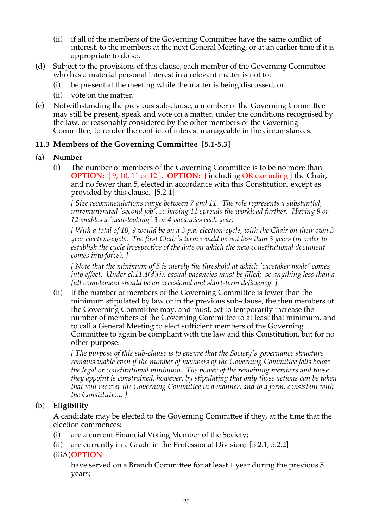- (ii) if all of the members of the Governing Committee have the same conflict of interest, to the members at the next General Meeting, or at an earlier time if it is appropriate to do so.
- (d) Subject to the provisions of this clause, each member of the Governing Committee who has a material personal interest in a relevant matter is not to:
	- (i) be present at the meeting while the matter is being discussed, or
	- (ii) vote on the matter.
- (e) Notwithstanding the previous sub-clause, a member of the Governing Committee may still be present, speak and vote on a matter, under the conditions recognised by the law, or reasonably considered by the other members of the Governing Committee, to render the conflict of interest manageable in the circumstances.

#### **11.3 Members of the Governing Committee [5.1-5.3]**

- (a) **Number**
	- (i) The number of members of the Governing Committee is to be no more than **OPTION:** { 9, 10, 11 or 12 }, **OPTION:** { including OR excluding } the Chair, and no fewer than 5, elected in accordance with this Constitution, except as provided by this clause.[5.2.4]

*[ Size recommendations range between 7 and 11. The role represents a substantial, unremunerated 'second job', so having 11 spreads the workload further. Having 9 or 12 enables a 'neat-looking' 3 or 4 vacancies each year.*

*[ With a total of 10, 9 would be on a 3 p.a. election-cycle, with the Chair on their own 3 year election-cycle. The first Chair's term would be not less than 3 years (in order to establish the cycle irrespective of the date on which the new constitutional document comes into force). ]*

*[ Note that the minimum of 5 is merely the threshold at which 'caretaker mode' comes into effect. Under cl.11.4(d)(i), casual vacancies must be filled; so anything less than a full complement should be an occasional and short-term deficiency. ]*

(ii) If the number of members of the Governing Committee is fewer than the minimum stipulated by law or in the previous sub-clause, the then members of the Governing Committee may, and must, act to temporarily increase the number of members of the Governing Committee to at least that minimum, and to call a General Meeting to elect sufficient members of the Governing Committee to again be compliant with the law and this Constitution, but for no other purpose.

*[ The purpose of this sub-clause is to ensure that the Society's governance structure remains viable even if the number of members of the Governing Committee falls below the legal or constitutional minimum. The power of the remaining members and those they appoint is constrained, however, by stipulating that only those actions can be taken that will recover the Governing Committee in a manner, and to a form, consistent with the Constitution. ]*

#### (b) **Eligibility**

A candidate may be elected to the Governing Committee if they, at the time that the election commences:

- (i) are a current Financial Voting Member of the Society;
- (ii) are currently in a Grade in the Professional Division; [5.2.1, 5.2.2]

#### (iiiA)**OPTION**:

have served on a Branch Committee for at least 1 year during the previous 5 years;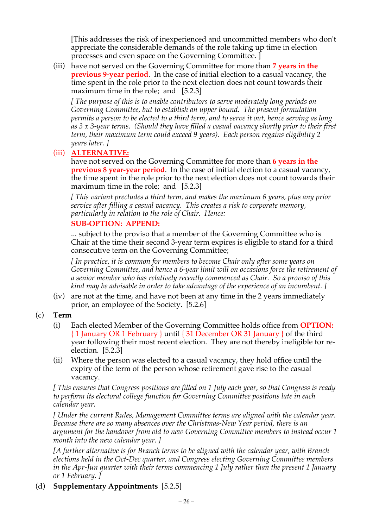[This addresses the risk of inexperienced and uncommitted members who don't appreciate the considerable demands of the role taking up time in election processes and even space on the Governing Committee. ]

(iii) have not served on the Governing Committee for more than **7 years in the previous 9-year period**. In the case of initial election to a casual vacancy, the time spent in the role prior to the next election does not count towards their maximum time in the role; and [5.2.3]

*[ The purpose of this is to enable contributors to serve moderately long periods on Governing Committee, but to establish an upper bound. The present formulation permits a person to be elected to a third term, and to serve it out, hence serving as long as 3 x 3-year terms. (Should they have filled a casual vacancy shortly prior to their first term, their maximum term could exceed 9 years). Each person regains eligibility 2 years later. ]*

### (iii) **ALTERNATIVE:**

have not served on the Governing Committee for more than **6 years in the previous 8 year-year period**. In the case of initial election to a casual vacancy, the time spent in the role prior to the next election does not count towards their maximum time in the role; and [5.2.3]

*[ This variant precludes a third term, and makes the maximum 6 years, plus any prior service after filling a casual vacancy. This creates a risk to corporate memory, particularly in relation to the role of Chair. Hence:*

### **SUB-OPTION: APPEND:**

... subject to the proviso that a member of the Governing Committee who is Chair at the time their second 3-year term expires is eligible to stand for a third consecutive term on the Governing Committee;

*[ In practice, it is common for members to become Chair only after some years on Governing Committee, and hence a 6-year limit will on occasions force the retirement of a senior member who has relatively recently commenced as Chair. So a proviso of this kind may be advisable in order to take advantage of the experience of an incumbent. ]*

(iv) are not at the time, and have not been at any time in the 2 years immediately prior, an employee of the Society. [5.2.6]

### (c) **Term**

- (i) Each elected Member of the Governing Committee holds office from **OPTION:**  { 1 January OR 1 February } until { 31 December OR 31 January } of the third year following their most recent election. They are not thereby ineligible for reelection. [5.2.3]
- (ii) Where the person was elected to a casual vacancy, they hold office until the expiry of the term of the person whose retirement gave rise to the casual vacancy.

*[ This ensures that Congress positions are filled on 1 July each year, so that Congress is ready to perform its electoral college function for Governing Committee positions late in each calendar year.* 

*[ Under the current Rules, Management Committee terms are aligned with the calendar year. Because there are so many absences over the Christmas-New Year period, there is an argument for the handover from old to new Governing Committee members to instead occur 1 month into the new calendar year. ]*

*[A further alternative is for Branch terms to be aligned with the calendar year, with Branch elections held in the Oct-Dec quarter, and Congress electing Governing Committee members in the Apr-Jun quarter with their terms commencing 1 July rather than the present 1 January or 1 February. ]*

### (d) **Supplementary Appointments** [5.2.5]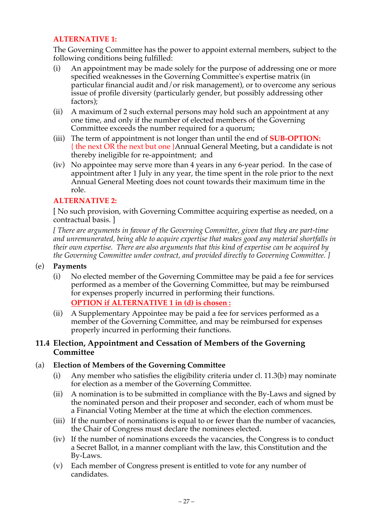### **ALTERNATIVE 1:**

The Governing Committee has the power to appoint external members, subject to the following conditions being fulfilled:

- (i) An appointment may be made solely for the purpose of addressing one or more specified weaknesses in the Governing Committee's expertise matrix (in particular financial audit and/or risk management), or to overcome any serious issue of profile diversity (particularly gender, but possibly addressing other factors);
- (ii) A maximum of 2 such external persons may hold such an appointment at any one time, and only if the number of elected members of the Governing Committee exceeds the number required for a quorum;
- (iii) The term of appointment is not longer than until the end of **SUB-OPTION:**  { the next OR the next but one }Annual General Meeting, but a candidate is not thereby ineligible for re-appointment; and
- (iv) No appointee may serve more than 4 years in any 6-year period. In the case of appointment after 1 July in any year, the time spent in the role prior to the next Annual General Meeting does not count towards their maximum time in the role.

#### **ALTERNATIVE 2:**

[ No such provision, with Governing Committee acquiring expertise as needed, on a contractual basis. ]

*[ There are arguments in favour of the Governing Committee, given that they are part-time and unremunerated, being able to acquire expertise that makes good any material shortfalls in their own expertise. There are also arguments that this kind of expertise can be acquired by the Governing Committee under contract, and provided directly to Governing Committee. ]*

#### (e) **Payments**

(i) No elected member of the Governing Committee may be paid a fee for services performed as a member of the Governing Committee, but may be reimbursed for expenses properly incurred in performing their functions.

```
OPTION if ALTERNATIVE 1 in (d) is chosen :
```
(ii) A Supplementary Appointee may be paid a fee for services performed as a member of the Governing Committee, and may be reimbursed for expenses properly incurred in performing their functions.

#### **11.4 Election, Appointment and Cessation of Members of the Governing Committee**

### (a) **Election of Members of the Governing Committee**

- (i) Any member who satisfies the eligibility criteria under cl. 11.3(b) may nominate for election as a member of the Governing Committee.
- (ii) A nomination is to be submitted in compliance with the By-Laws and signed by the nominated person and their proposer and seconder, each of whom must be a Financial Voting Member at the time at which the election commences.
- (iii) If the number of nominations is equal to or fewer than the number of vacancies, the Chair of Congress must declare the nominees elected.
- (iv) If the number of nominations exceeds the vacancies, the Congress is to conduct a Secret Ballot, in a manner compliant with the law, this Constitution and the By-Laws.
- (v) Each member of Congress present is entitled to vote for any number of candidates.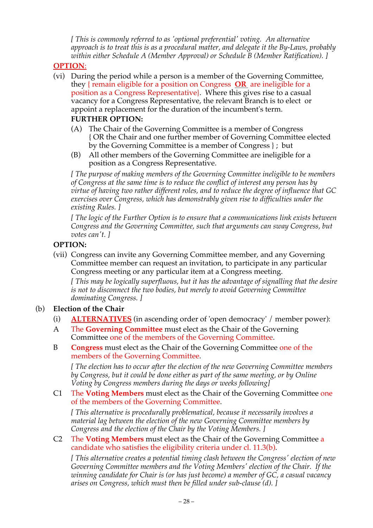*[ This is commonly referred to as 'optional preferential' voting. An alternative approach is to treat this is as a procedural matter, and delegate it the By-Laws, probably within either Schedule A (Member Approval) or Schedule B (Member Ratification). ]*

### **OPTION**:

- (vi) During the period while a person is a member of the Governing Committee, they { remain eligible for a position on Congress **OR** are ineligible for a position as a Congress Representative}. Where this gives rise to a casual vacancy for a Congress Representative, the relevant Branch is to elect or appoint a replacement for the duration of the incumbent's term. **FURTHER OPTION:**
	- (A) The Chair of the Governing Committee is a member of Congress { OR the Chair and one further member of Governing Committee elected by the Governing Committee is a member of Congress } ; but
	- (B) All other members of the Governing Committee are ineligible for a position as a Congress Representative.

*[ The purpose of making members of the Governing Committee ineligible to be members of Congress at the same time is to reduce the conflict of interest any person has by virtue of having two rather different roles, and to reduce the degree of influence that GC exercises over Congress, which has demonstrably given rise to difficulties under the existing Rules. ]*

*[ The logic of the Further Option is to ensure that a communications link exists between Congress and the Governing Committee, such that arguments can sway Congress, but votes can't. ]*

### **OPTION:**

(vii) Congress can invite any Governing Committee member, and any Governing Committee member can request an invitation, to participate in any particular Congress meeting or any particular item at a Congress meeting. *[ This may be logically superfluous, but it has the advantage of signalling that the desire is not to disconnect the two bodies, but merely to avoid Governing Committee* 

*dominating Congress. ]*

### (b) **Election of the Chair**

- (i) **ALTERNATIVES** (in ascending order of 'open democracy' / member power):
- A The **Governing Committee** must elect as the Chair of the Governing Committee one of the members of the Governing Committee.
- B **Congress** must elect as the Chair of the Governing Committee one of the members of the Governing Committee.

*[ The election has to occur after the election of the new Governing Committee members by Congress, but it could be done either as part of the same meeting, or by Online Voting by Congress members during the days or weeks following]*

C1 The **Voting Members** must elect as the Chair of the Governing Committee one of the members of the Governing Committee.

*[ This alternative is procedurally problematical, because it necessarily involves a material lag between the election of the new Governing Committee members by Congress and the election of the Chair by the Voting Members. ]*

C2 The **Voting Members** must elect as the Chair of the Governing Committee a candidate who satisfies the eligibility criteria under cl. 11.3(b).

*[ This alternative creates a potential timing clash between the Congress' election of new Governing Committee members and the Voting Members' election of the Chair. If the winning candidate for Chair is (or has just become) a member of GC, a casual vacancy arises on Congress, which must then be filled under sub-clause (d). ]*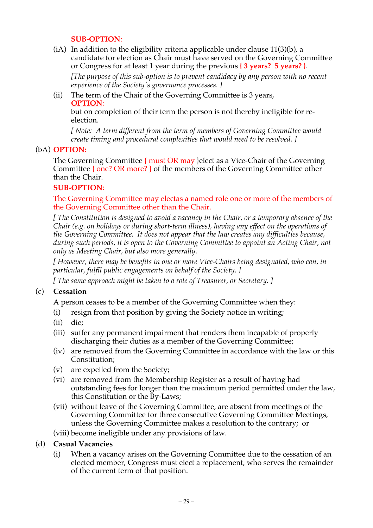#### **SUB-OPTION**:

 $(i)$  In addition to the eligibility criteria applicable under clause  $11(3)(b)$ , a candidate for election as Chair must have served on the Governing Committee or Congress for at least 1 year during the previous **{ 3 years? 5 years? }**.

*[The purpose of this sub-option is to prevent candidacy by any person with no recent experience of the Society's governance processes. ]*

#### (ii) The term of the Chair of the Governing Committee is 3 years, **OPTION**:

but on completion of their term the person is not thereby ineligible for reelection.

*[ Note: A term different from the term of members of Governing Committee would create timing and procedural complexities that would need to be resolved. ]*

#### (bA) **OPTION:**

The Governing Committee  $\{$  must OR may } elect as a Vice-Chair of the Governing Committee { one? OR more? } of the members of the Governing Committee other than the Chair.

#### **SUB-OPTION**:

The Governing Committee may electas a named role one or more of the members of the Governing Committee other than the Chair.

*[ The Constitution is designed to avoid a vacancy in the Chair, or a temporary absence of the Chair (e.g. on holidays or during short-term illness), having any effect on the operations of the Governing Committee. It does not appear that the law creates any difficulties because, during such periods, it is open to the Governing Committee to appoint an Acting Chair, not only as Meeting Chair, but also more generally.*

*[ However, there may be benefits in one or more Vice-Chairs being designated, who can, in particular, fulfil public engagements on behalf of the Society. ]*

*[ The same approach might be taken to a role of Treasurer, or Secretary. ]*

#### (c) **Cessation**

A person ceases to be a member of the Governing Committee when they:

- (i) resign from that position by giving the Society notice in writing;
- (ii) die;
- (iii) suffer any permanent impairment that renders them incapable of properly discharging their duties as a member of the Governing Committee;
- (iv) are removed from the Governing Committee in accordance with the law or this Constitution;
- (v) are expelled from the Society;
- (vi) are removed from the Membership Register as a result of having had outstanding fees for longer than the maximum period permitted under the law, this Constitution or the By-Laws;
- (vii) without leave of the Governing Committee, are absent from meetings of the Governing Committee for three consecutive Governing Committee Meetings, unless the Governing Committee makes a resolution to the contrary; or
- (viii) become ineligible under any provisions of law.

#### (d) **Casual Vacancies**

(i) When a vacancy arises on the Governing Committee due to the cessation of an elected member, Congress must elect a replacement, who serves the remainder of the current term of that position.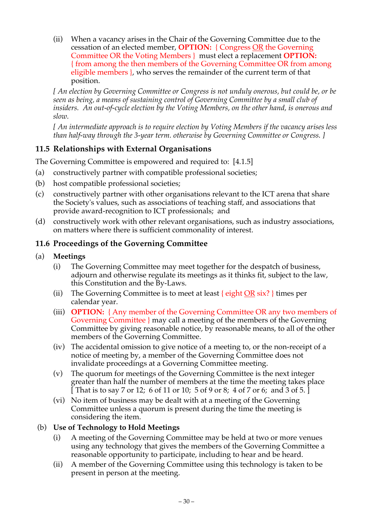(ii) When a vacancy arises in the Chair of the Governing Committee due to the cessation of an elected member, **OPTION:** { Congress OR the Governing Committee OR the Voting Members } must elect a replacement **OPTION:**  { from among the then members of the Governing Committee OR from among eligible members }, who serves the remainder of the current term of that position.

*[ An election by Governing Committee or Congress is not unduly onerous, but could be, or be seen as being, a means of sustaining control of Governing Committee by a small club of insiders. An out-of-cycle election by the Voting Members, on the other hand, is onerous and slow.* 

*[ An intermediate approach is to require election by Voting Members if the vacancy arises less than half-way through the 3-year term. otherwise by Governing Committee or Congress. ]*

# **11.5 Relationships with External Organisations**

The Governing Committee is empowered and required to: [4.1.5]

- (a) constructively partner with compatible professional societies;
- (b) host compatible professional societies;
- (c) constructively partner with other organisations relevant to the ICT arena that share the Society's values, such as associations of teaching staff, and associations that provide award-recognition to ICT professionals; and
- (d) constructively work with other relevant organisations, such as industry associations, on matters where there is sufficient commonality of interest.

# **11.6 Proceedings of the Governing Committee**

### (a) **Meetings**

- (i) The Governing Committee may meet together for the despatch of business, adjourn and otherwise regulate its meetings as it thinks fit, subject to the law, this Constitution and the By-Laws.
- (ii) The Governing Committee is to meet at least  $\{$  eight OR six?  $\}$  times per calendar year.
- (iii) **OPTION:** { Any member of the Governing Committee OR any two members of Governing Committee } may call a meeting of the members of the Governing Committee by giving reasonable notice, by reasonable means, to all of the other members of the Governing Committee.
- (iv) The accidental omission to give notice of a meeting to, or the non-receipt of a notice of meeting by, a member of the Governing Committee does not invalidate proceedings at a Governing Committee meeting.
- (v) The quorum for meetings of the Governing Committee is the next integer greater than half the number of members at the time the meeting takes place [That is to say 7 or 12; 6 of 11 or 10; 5 of 9 or 8; 4 of 7 or 6; and 3 of 5.]
- (vi) No item of business may be dealt with at a meeting of the Governing Committee unless a quorum is present during the time the meeting is considering the item.

## (b) **Use of Technology to Hold Meetings**

- (i) A meeting of the Governing Committee may be held at two or more venues using any technology that gives the members of the Governing Committee a reasonable opportunity to participate, including to hear and be heard.
- (ii) A member of the Governing Committee using this technology is taken to be present in person at the meeting.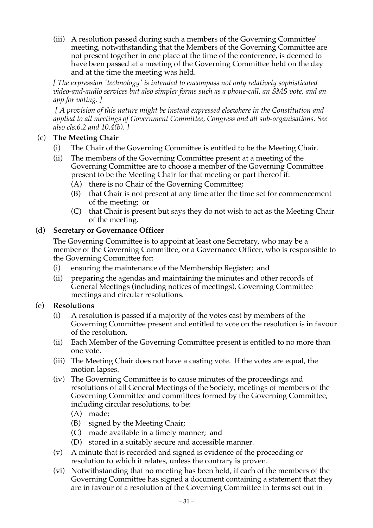(iii) A resolution passed during such a members of the Governing Committee' meeting, notwithstanding that the Members of the Governing Committee are not present together in one place at the time of the conference, is deemed to have been passed at a meeting of the Governing Committee held on the day and at the time the meeting was held.

*[ The expression 'technology' is intended to encompass not only relatively sophisticated video-and-audio services but also simpler forms such as a phone-call, an SMS vote, and an app for voting. ]*

 *[ A provision of this nature might be instead expressed elsewhere in the Constitution and applied to all meetings of Government Committee, Congress and all sub-organisations. See also cls.6.2 and 10.4(b). ]*

### (c) **The Meeting Chair**

- (i) The Chair of the Governing Committee is entitled to be the Meeting Chair.
- (ii) The members of the Governing Committee present at a meeting of the Governing Committee are to choose a member of the Governing Committee present to be the Meeting Chair for that meeting or part thereof if:
	- (A) there is no Chair of the Governing Committee;
	- (B) that Chair is not present at any time after the time set for commencement of the meeting; or
	- (C) that Chair is present but says they do not wish to act as the Meeting Chair of the meeting.

#### (d) **Secretary or Governance Officer**

The Governing Committee is to appoint at least one Secretary, who may be a member of the Governing Committee, or a Governance Officer, who is responsible to the Governing Committee for:

- (i) ensuring the maintenance of the Membership Register; and
- (ii) preparing the agendas and maintaining the minutes and other records of General Meetings (including notices of meetings), Governing Committee meetings and circular resolutions.

#### (e) **Resolutions**

- (i) A resolution is passed if a majority of the votes cast by members of the Governing Committee present and entitled to vote on the resolution is in favour of the resolution.
- (ii) Each Member of the Governing Committee present is entitled to no more than one vote.
- (iii) The Meeting Chair does not have a casting vote. If the votes are equal, the motion lapses.
- (iv) The Governing Committee is to cause minutes of the proceedings and resolutions of all General Meetings of the Society, meetings of members of the Governing Committee and committees formed by the Governing Committee, including circular resolutions, to be:
	- (A) made;
	- (B) signed by the Meeting Chair;
	- (C) made available in a timely manner; and
	- (D) stored in a suitably secure and accessible manner.
- (v) A minute that is recorded and signed is evidence of the proceeding or resolution to which it relates, unless the contrary is proven.
- (vi) Notwithstanding that no meeting has been held, if each of the members of the Governing Committee has signed a document containing a statement that they are in favour of a resolution of the Governing Committee in terms set out in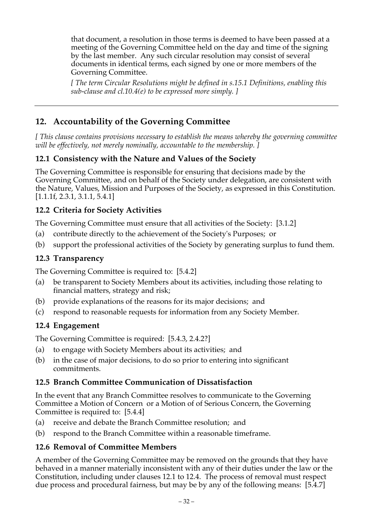that document, a resolution in those terms is deemed to have been passed at a meeting of the Governing Committee held on the day and time of the signing by the last member. Any such circular resolution may consist of several documents in identical terms, each signed by one or more members of the Governing Committee.

*[ The term Circular Resolutions might be defined in s.15.1 Definitions, enabling this sub-clause and cl.10.4(e) to be expressed more simply. ]*

# **12. Accountability of the Governing Committee**

*[ This clause contains provisions necessary to establish the means whereby the governing committee will be effectively, not merely nominally, accountable to the membership. ]*

# **12.1 Consistency with the Nature and Values of the Society**

The Governing Committee is responsible for ensuring that decisions made by the Governing Committee, and on behalf of the Society under delegation, are consistent with the Nature, Values, Mission and Purposes of the Society, as expressed in this Constitution. [1.1.1f, 2.3.1, 3.1.1, 5.4.1]

### **12.2 Criteria for Society Activities**

The Governing Committee must ensure that all activities of the Society: [3.1.2]

- (a) contribute directly to the achievement of the Society's Purposes; or
- (b) support the professional activities of the Society by generating surplus to fund them.

### **12.3 Transparency**

The Governing Committee is required to: [5.4.2]

- (a) be transparent to Society Members about its activities, including those relating to financial matters, strategy and risk;
- (b) provide explanations of the reasons for its major decisions; and
- (c) respond to reasonable requests for information from any Society Member.

### **12.4 Engagement**

The Governing Committee is required: [5.4.3, 2.4.2?]

- (a) to engage with Society Members about its activities; and
- (b) in the case of major decisions, to do so prior to entering into significant commitments.

### **12.5 Branch Committee Communication of Dissatisfaction**

In the event that any Branch Committee resolves to communicate to the Governing Committee a Motion of Concern or a Motion of of Serious Concern, the Governing Committee is required to: [5.4.4]

- (a) receive and debate the Branch Committee resolution; and
- (b) respond to the Branch Committee within a reasonable timeframe.

### **12.6 Removal of Committee Members**

A member of the Governing Committee may be removed on the grounds that they have behaved in a manner materially inconsistent with any of their duties under the law or the Constitution, including under clauses 12.1 to 12.4. The process of removal must respect due process and procedural fairness, but may be by any of the following means: [5.4.7]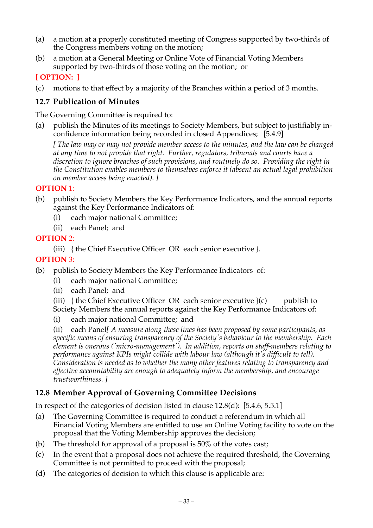- (a) a motion at a properly constituted meeting of Congress supported by two-thirds of the Congress members voting on the motion;
- (b) a motion at a General Meeting or Online Vote of Financial Voting Members supported by two-thirds of those voting on the motion; or

## **[ OPTION: ]**

(c) motions to that effect by a majority of the Branches within a period of 3 months.

## **12.7 Publication of Minutes**

The Governing Committee is required to:

(a) publish the Minutes of its meetings to Society Members, but subject to justifiably inconfidence information being recorded in closed Appendices; [5.4.9]

*[ The law may or may not provide member access to the minutes, and the law can be changed at any time to not provide that right. Further, regulators, tribunals and courts have a discretion to ignore breaches of such provisions, and routinely do so. Providing the right in the Constitution enables members to themselves enforce it (absent an actual legal prohibition on member access being enacted). ]*

### **OPTION** 1:

- (b) publish to Society Members the Key Performance Indicators, and the annual reports against the Key Performance Indicators of:
	- (i) each major national Committee;
	- (ii) each Panel; and

### **OPTION** 2:

(iii) { the Chief Executive Officer OR each senior executive }.

### **OPTION** 3:

- (b) publish to Society Members the Key Performance Indicators of:
	- (i) each major national Committee;
	- (ii) each Panel; and
	- (iii)  $\{$  the Chief Executive Officer OR each senior executive  $\}(c)$  publish to Society Members the annual reports against the Key Performance Indicators of:
	- (i) each major national Committee; and

(ii) each Panel*[ A measure along these lines has been proposed by some participants, as specific means of ensuring transparency of the Society's behaviour to the membership. Each element is onerous ('micro-management'). In addition, reports on staff-members relating to performance against KPIs might collide with labour law (although it's difficult to tell). Consideration is needed as to whether the many other features relating to transparency and effective accountability are enough to adequately inform the membership, and encourage trustworthiness. ]*

## **12.8 Member Approval of Governing Committee Decisions**

In respect of the categories of decision listed in clause 12.8(d): [5.4.6, 5.5.1]

- (a) The Governing Committee is required to conduct a referendum in which all Financial Voting Members are entitled to use an Online Voting facility to vote on the proposal that the Voting Membership approves the decision;
- (b) The threshold for approval of a proposal is 50% of the votes cast;
- (c) In the event that a proposal does not achieve the required threshold, the Governing Committee is not permitted to proceed with the proposal;
- (d) The categories of decision to which this clause is applicable are: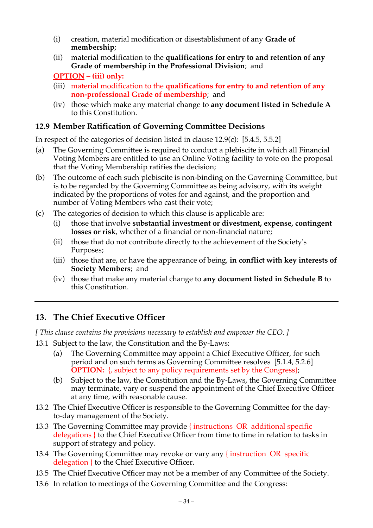- (i) creation, material modification or disestablishment of any **Grade of membership**;
- (ii) material modification to the **qualifications for entry to and retention of any Grade of membership in the Professional Division**; and

**OPTION – (iii) only:**

- (iii) material modification to the **qualifications for entry to and retention of any non-professional Grade of membership**; and
- (iv) those which make any material change to **any document listed in Schedule A** to this Constitution.

### **12.9 Member Ratification of Governing Committee Decisions**

In respect of the categories of decision listed in clause 12.9(c): [5.4.5, 5.5.2]

- (a) The Governing Committee is required to conduct a plebiscite in which all Financial Voting Members are entitled to use an Online Voting facility to vote on the proposal that the Voting Membership ratifies the decision;
- (b) The outcome of each such plebiscite is non-binding on the Governing Committee, but is to be regarded by the Governing Committee as being advisory, with its weight indicated by the proportions of votes for and against, and the proportion and number of Voting Members who cast their vote;
- (c) The categories of decision to which this clause is applicable are:
	- (i) those that involve **substantial investment or divestment, expense, contingent losses or risk**, whether of a financial or non-financial nature;
	- (ii) those that do not contribute directly to the achievement of the Society's Purposes;
	- (iii) those that are, or have the appearance of being, **in conflict with key interests of Society Members**; and
	- (iv) those that make any material change to **any document listed in Schedule B** to this Constitution.

# **13. The Chief Executive Officer**

*[ This clause contains the provisions necessary to establish and empower the CEO. ]*

- 13.1 Subject to the law, the Constitution and the By-Laws:
	- (a) The Governing Committee may appoint a Chief Executive Officer, for such period and on such terms as Governing Committee resolves [5.1.4, 5.2.6] **OPTION:** {, subject to any policy requirements set by the Congress};
	- (b) Subject to the law, the Constitution and the By-Laws, the Governing Committee may terminate, vary or suspend the appointment of the Chief Executive Officer at any time, with reasonable cause.
- 13.2 The Chief Executive Officer is responsible to the Governing Committee for the dayto-day management of the Society.
- 13.3 The Governing Committee may provide { instructions OR additional specific delegations } to the Chief Executive Officer from time to time in relation to tasks in support of strategy and policy.
- 13.4 The Governing Committee may revoke or vary any { instruction OR specific delegation } to the Chief Executive Officer.
- 13.5 The Chief Executive Officer may not be a member of any Committee of the Society.
- 13.6 In relation to meetings of the Governing Committee and the Congress: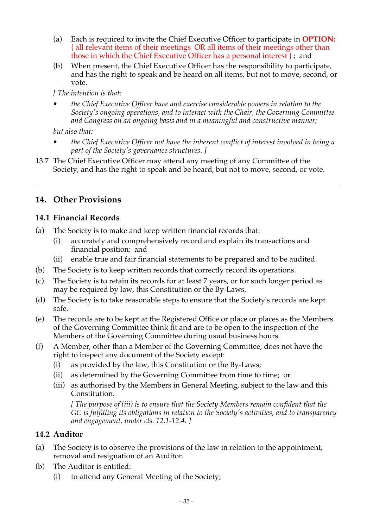- (a) Each is required to invite the Chief Executive Officer to participate in **OPTION:** { all relevant items of their meetings OR all items of their meetings other than those in which the Chief Executive Officer has a personal interest } ; and
- (b) When present, the Chief Executive Officer has the responsibility to participate, and has the right to speak and be heard on all items, but not to move, second, or vote.

*[ The intention is that:*

*• the Chief Executive Officer have and exercise considerable powers in relation to the Society's ongoing operations, and to interact with the Chair, the Governing Committee and Congress on an ongoing basis and in a meaningful and constructive manner;* 

*but also that:*

- *• the Chief Executive Officer not have the inherent conflict of interest involved in being a part of the Society's governance structures. ]*
- 13.7 The Chief Executive Officer may attend any meeting of any Committee of the Society, and has the right to speak and be heard, but not to move, second, or vote.

# **14. Other Provisions**

### **14.1 Financial Records**

- (a) The Society is to make and keep written financial records that:
	- (i) accurately and comprehensively record and explain its transactions and financial position; and
	- (ii) enable true and fair financial statements to be prepared and to be audited.
- (b) The Society is to keep written records that correctly record its operations.
- (c) The Society is to retain its records for at least 7 years, or for such longer period as may be required by law, this Constitution or the By-Laws.
- (d) The Society is to take reasonable steps to ensure that the Society's records are kept safe.
- (e) The records are to be kept at the Registered Office or place or places as the Members of the Governing Committee think fit and are to be open to the inspection of the Members of the Governing Committee during usual business hours.
- (f) A Member, other than a Member of the Governing Committee, does not have the right to inspect any document of the Society except:
	- (i) as provided by the law, this Constitution or the By-Laws;
	- (ii) as determined by the Governing Committee from time to time; or
	- (iii) as authorised by the Members in General Meeting, subject to the law and this Constitution.

*[ The purpose of (iii) is to ensure that the Society Members remain confident that the GC is fulfilling its obligations in relation to the Society's activities, and to transparency and engagement, under cls. 12.1-12.4. ]*

## **14.2 Auditor**

- (a) The Society is to observe the provisions of the law in relation to the appointment, removal and resignation of an Auditor.
- (b) The Auditor is entitled:
	- (i) to attend any General Meeting of the Society;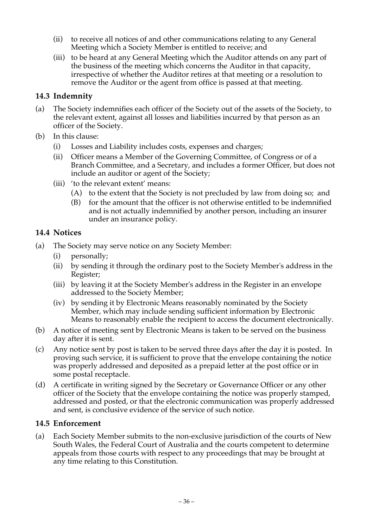- (ii) to receive all notices of and other communications relating to any General Meeting which a Society Member is entitled to receive; and
- (iii) to be heard at any General Meeting which the Auditor attends on any part of the business of the meeting which concerns the Auditor in that capacity, irrespective of whether the Auditor retires at that meeting or a resolution to remove the Auditor or the agent from office is passed at that meeting.

## **14.3 Indemnity**

- (a) The Society indemnifies each officer of the Society out of the assets of the Society, to the relevant extent, against all losses and liabilities incurred by that person as an officer of the Society.
- (b) In this clause:
	- (i) Losses and Liability includes costs, expenses and charges;
	- (ii) Officer means a Member of the Governing Committee, of Congress or of a Branch Committee, and a Secretary, and includes a former Officer, but does not include an auditor or agent of the Society;
	- (iii) 'to the relevant extent' means:
		- (A) to the extent that the Society is not precluded by law from doing so; and
		- (B) for the amount that the officer is not otherwise entitled to be indemnified and is not actually indemnified by another person, including an insurer under an insurance policy.

## **14.4 Notices**

- (a) The Society may serve notice on any Society Member:
	- (i) personally;
	- (ii) by sending it through the ordinary post to the Society Member's address in the Register;
	- (iii) by leaving it at the Society Member's address in the Register in an envelope addressed to the Society Member;
	- (iv) by sending it by Electronic Means reasonably nominated by the Society Member, which may include sending sufficient information by Electronic Means to reasonably enable the recipient to access the document electronically.
- (b) A notice of meeting sent by Electronic Means is taken to be served on the business day after it is sent.
- (c) Any notice sent by post is taken to be served three days after the day it is posted. In proving such service, it is sufficient to prove that the envelope containing the notice was properly addressed and deposited as a prepaid letter at the post office or in some postal receptacle.
- (d) A certificate in writing signed by the Secretary or Governance Officer or any other officer of the Society that the envelope containing the notice was properly stamped, addressed and posted, or that the electronic communication was properly addressed and sent, is conclusive evidence of the service of such notice.

## **14.5 Enforcement**

(a) Each Society Member submits to the non-exclusive jurisdiction of the courts of New South Wales, the Federal Court of Australia and the courts competent to determine appeals from those courts with respect to any proceedings that may be brought at any time relating to this Constitution.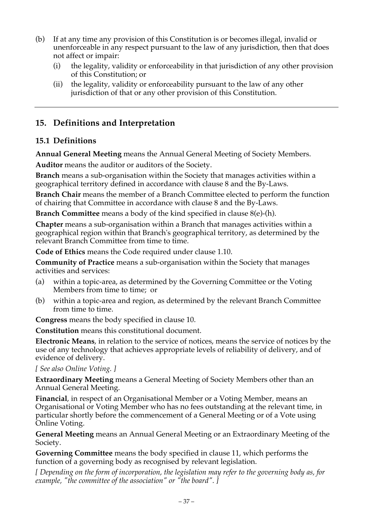- (b) If at any time any provision of this Constitution is or becomes illegal, invalid or unenforceable in any respect pursuant to the law of any jurisdiction, then that does not affect or impair:
	- (i) the legality, validity or enforceability in that jurisdiction of any other provision of this Constitution; or
	- (ii) the legality, validity or enforceability pursuant to the law of any other jurisdiction of that or any other provision of this Constitution.

# **15. Definitions and Interpretation**

# **15.1 Definitions**

**Annual General Meeting** means the Annual General Meeting of Society Members.

**Auditor** means the auditor or auditors of the Society.

**Branch** means a sub-organisation within the Society that manages activities within a geographical territory defined in accordance with clause 8 and the By-Laws.

**Branch Chair** means the member of a Branch Committee elected to perform the function of chairing that Committee in accordance with clause 8 and the By-Laws.

**Branch Committee** means a body of the kind specified in clause 8(e)-(h).

**Chapter** means a sub-organisation within a Branch that manages activities within a geographical region within that Branch's geographical territory, as determined by the relevant Branch Committee from time to time.

**Code of Ethics** means the Code required under clause 1.10.

**Community of Practice** means a sub-organisation within the Society that manages activities and services:

- (a) within a topic-area, as determined by the Governing Committee or the Voting Members from time to time; or
- (b) within a topic-area and region, as determined by the relevant Branch Committee from time to time.

**Congress** means the body specified in clause 10.

**Constitution** means this constitutional document.

**Electronic Means**, in relation to the service of notices, means the service of notices by the use of any technology that achieves appropriate levels of reliability of delivery, and of evidence of delivery.

*[ See also Online Voting. ]*

**Extraordinary Meeting** means a General Meeting of Society Members other than an Annual General Meeting.

**Financial**, in respect of an Organisational Member or a Voting Member, means an Organisational or Voting Member who has no fees outstanding at the relevant time, in particular shortly before the commencement of a General Meeting or of a Vote using Online Voting.

**General Meeting** means an Annual General Meeting or an Extraordinary Meeting of the Society.

**Governing Committee** means the body specified in clause 11, which performs the function of a governing body as recognised by relevant legislation.

*[ Depending on the form of incorporation, the legislation may refer to the governing body as, for example, "the committee of the association" or "the board". ]*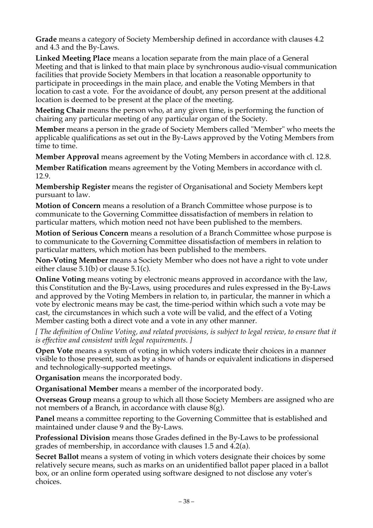**Grade** means a category of Society Membership defined in accordance with clauses 4.2 and 4.3 and the By-Laws.

**Linked Meeting Place** means a location separate from the main place of a General Meeting and that is linked to that main place by synchronous audio-visual communication facilities that provide Society Members in that location a reasonable opportunity to participate in proceedings in the main place, and enable the Voting Members in that location to cast a vote. For the avoidance of doubt, any person present at the additional location is deemed to be present at the place of the meeting.

**Meeting Chair** means the person who, at any given time, is performing the function of chairing any particular meeting of any particular organ of the Society.

**Member** means a person in the grade of Society Members called "Member" who meets the applicable qualifications as set out in the By-Laws approved by the Voting Members from time to time.

**Member Approval** means agreement by the Voting Members in accordance with cl. 12.8.

**Member Ratification** means agreement by the Voting Members in accordance with cl. 12.9.

**Membership Register** means the register of Organisational and Society Members kept pursuant to law.

**Motion of Concern** means a resolution of a Branch Committee whose purpose is to communicate to the Governing Committee dissatisfaction of members in relation to particular matters, which motion need not have been published to the members.

**Motion of Serious Concern** means a resolution of a Branch Committee whose purpose is to communicate to the Governing Committee dissatisfaction of members in relation to particular matters, which motion has been published to the members.

**Non-Voting Member** means a Society Member who does not have a right to vote under either clause  $5.1(b)$  or clause  $5.1(c)$ .

**Online Voting** means voting by electronic means approved in accordance with the law, this Constitution and the By-Laws, using procedures and rules expressed in the By-Laws and approved by the Voting Members in relation to, in particular, the manner in which a vote by electronic means may be cast, the time-period within which such a vote may be cast, the circumstances in which such a vote will be valid, and the effect of a Voting Member casting both a direct vote and a vote in any other manner.

*[ The definition of Online Voting, and related provisions, is subject to legal review, to ensure that it is effective and consistent with legal requirements. ]*

**Open Vote** means a system of voting in which voters indicate their choices in a manner visible to those present, such as by a show of hands or equivalent indications in dispersed and technologically-supported meetings.

**Organisation** means the incorporated body.

**Organisational Member** means a member of the incorporated body.

**Overseas Group** means a group to which all those Society Members are assigned who are not members of a Branch, in accordance with clause 8(g).

**Panel** means a committee reporting to the Governing Committee that is established and maintained under clause 9 and the By-Laws.

**Professional Division** means those Grades defined in the By-Laws to be professional grades of membership, in accordance with clauses 1.5 and 4.2(a).

**Secret Ballot** means a system of voting in which voters designate their choices by some relatively secure means, such as marks on an unidentified ballot paper placed in a ballot box, or an online form operated using software designed to not disclose any voter's choices.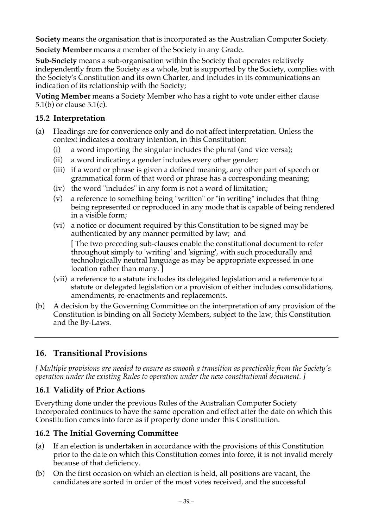**Society** means the organisation that is incorporated as the Australian Computer Society.

**Society Member** means a member of the Society in any Grade.

**Sub-Society** means a sub-organisation within the Society that operates relatively independently from the Society as a whole, but is supported by the Society, complies with the Society's Constitution and its own Charter, and includes in its communications an indication of its relationship with the Society;

**Voting Member** means a Society Member who has a right to vote under either clause 5.1(b) or clause 5.1(c).

## **15.2 Interpretation**

- (a) Headings are for convenience only and do not affect interpretation. Unless the context indicates a contrary intention, in this Constitution:
	- (i) a word importing the singular includes the plural (and vice versa);
	- (ii) a word indicating a gender includes every other gender;
	- (iii) if a word or phrase is given a defined meaning, any other part of speech or grammatical form of that word or phrase has a corresponding meaning;
	- (iv) the word "includes" in any form is not a word of limitation;
	- (v) a reference to something being "written" or "in writing" includes that thing being represented or reproduced in any mode that is capable of being rendered in a visible form;
	- (vi) a notice or document required by this Constitution to be signed may be authenticated by any manner permitted by law; and

[ The two preceding sub-clauses enable the constitutional document to refer throughout simply to 'writing' and 'signing', with such procedurally and technologically neutral language as may be appropriate expressed in one location rather than many. ]

- (vii) a reference to a statute includes its delegated legislation and a reference to a statute or delegated legislation or a provision of either includes consolidations, amendments, re-enactments and replacements.
- (b) A decision by the Governing Committee on the interpretation of any provision of the Constitution is binding on all Society Members, subject to the law, this Constitution and the By-Laws.

# **16. Transitional Provisions**

*[ Multiple provisions are needed to ensure as smooth a transition as practicable from the Society's operation under the existing Rules to operation under the new constitutional document. ]*

## **16.1 Validity of Prior Actions**

Everything done under the previous Rules of the Australian Computer Society Incorporated continues to have the same operation and effect after the date on which this Constitution comes into force as if properly done under this Constitution.

## **16.2 The Initial Governing Committee**

- (a) If an election is undertaken in accordance with the provisions of this Constitution prior to the date on which this Constitution comes into force, it is not invalid merely because of that deficiency.
- (b) On the first occasion on which an election is held, all positions are vacant, the candidates are sorted in order of the most votes received, and the successful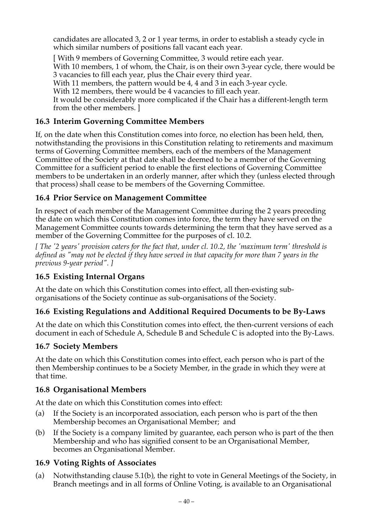candidates are allocated 3, 2 or 1 year terms, in order to establish a steady cycle in which similar numbers of positions fall vacant each year.

[ With 9 members of Governing Committee, 3 would retire each year. With 10 members, 1 of whom, the Chair, is on their own 3-year cycle, there would be 3 vacancies to fill each year, plus the Chair every third year. With 11 members, the pattern would be 4, 4 and 3 in each 3-year cycle. With 12 members, there would be 4 vacancies to fill each year. It would be considerably more complicated if the Chair has a different-length term from the other members. ]

# **16.3 Interim Governing Committee Members**

If, on the date when this Constitution comes into force, no election has been held, then, notwithstanding the provisions in this Constitution relating to retirements and maximum terms of Governing Committee members, each of the members of the Management Committee of the Society at that date shall be deemed to be a member of the Governing Committee for a sufficient period to enable the first elections of Governing Committee members to be undertaken in an orderly manner, after which they (unless elected through that process) shall cease to be members of the Governing Committee.

# **16.4 Prior Service on Management Committee**

In respect of each member of the Management Committee during the 2 years preceding the date on which this Constitution comes into force, the term they have served on the Management Committee counts towards determining the term that they have served as a member of the Governing Committee for the purposes of cl. 10.2.

*[ The '2 years' provision caters for the fact that, under cl. 10.2, the 'maximum term' threshold is defined as "may not be elected if they have served in that capacity for more than 7 years in the previous 9-year period". ]*

# **16.5 Existing Internal Organs**

At the date on which this Constitution comes into effect, all then-existing suborganisations of the Society continue as sub-organisations of the Society.

# **16.6 Existing Regulations and Additional Required Documents to be By-Laws**

At the date on which this Constitution comes into effect, the then-current versions of each document in each of Schedule A, Schedule B and Schedule C is adopted into the By-Laws.

## **16.7 Society Members**

At the date on which this Constitution comes into effect, each person who is part of the then Membership continues to be a Society Member, in the grade in which they were at that time.

## **16.8 Organisational Members**

At the date on which this Constitution comes into effect:

- (a) If the Society is an incorporated association, each person who is part of the then Membership becomes an Organisational Member; and
- (b) If the Society is a company limited by guarantee, each person who is part of the then Membership and who has signified consent to be an Organisational Member, becomes an Organisational Member.

## **16.9 Voting Rights of Associates**

(a) Notwithstanding clause 5.1(b), the right to vote in General Meetings of the Society, in Branch meetings and in all forms of Online Voting, is available to an Organisational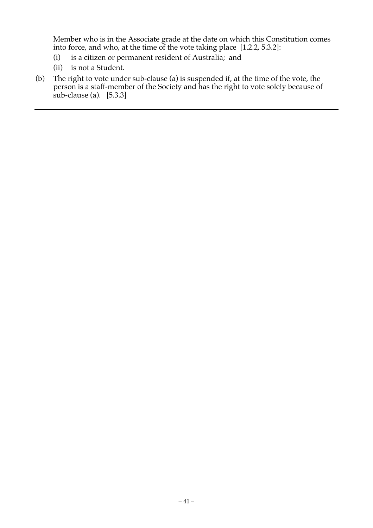Member who is in the Associate grade at the date on which this Constitution comes into force, and who, at the time of the vote taking place [1.2.2, 5.3.2]:

- (i) is a citizen or permanent resident of Australia; and
- (ii) is not a Student.
- (b) The right to vote under sub-clause (a) is suspended if, at the time of the vote, the person is a staff-member of the Society and has the right to vote solely because of sub-clause (a). [5.3.3]